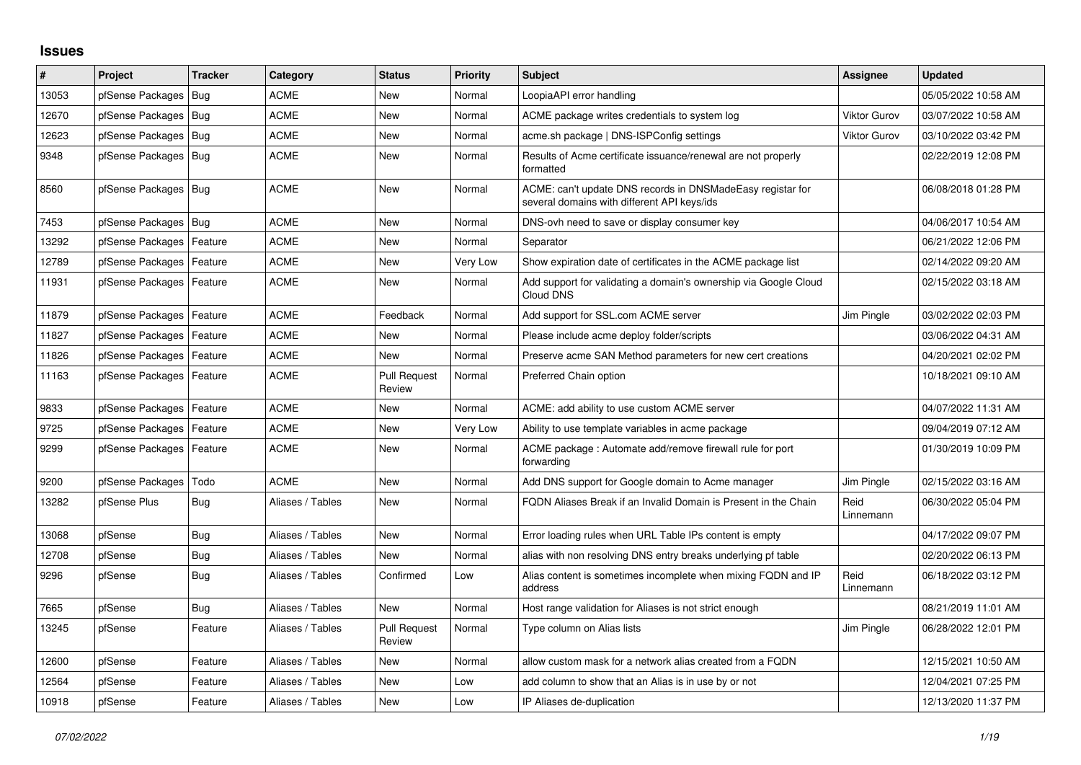## **Issues**

| #     | Project                    | <b>Tracker</b> | Category         | <b>Status</b>                 | <b>Priority</b> | <b>Subject</b>                                                                                            | Assignee            | <b>Updated</b>      |
|-------|----------------------------|----------------|------------------|-------------------------------|-----------------|-----------------------------------------------------------------------------------------------------------|---------------------|---------------------|
| 13053 | pfSense Packages           | Bug            | <b>ACME</b>      | <b>New</b>                    | Normal          | LoopiaAPI error handling                                                                                  |                     | 05/05/2022 10:58 AM |
| 12670 | pfSense Packages           | Bug            | <b>ACME</b>      | <b>New</b>                    | Normal          | ACME package writes credentials to system log                                                             | <b>Viktor Gurov</b> | 03/07/2022 10:58 AM |
| 12623 | pfSense Packages           | Bug            | <b>ACME</b>      | <b>New</b>                    | Normal          | acme.sh package   DNS-ISPConfig settings                                                                  | <b>Viktor Gurov</b> | 03/10/2022 03:42 PM |
| 9348  | pfSense Packages           | Bug            | <b>ACME</b>      | <b>New</b>                    | Normal          | Results of Acme certificate issuance/renewal are not properly<br>formatted                                |                     | 02/22/2019 12:08 PM |
| 8560  | pfSense Packages           | Bug            | <b>ACME</b>      | <b>New</b>                    | Normal          | ACME: can't update DNS records in DNSMadeEasy registar for<br>several domains with different API keys/ids |                     | 06/08/2018 01:28 PM |
| 7453  | pfSense Packages           | Bug            | <b>ACME</b>      | <b>New</b>                    | Normal          | DNS-ovh need to save or display consumer key                                                              |                     | 04/06/2017 10:54 AM |
| 13292 | pfSense Packages           | Feature        | <b>ACME</b>      | <b>New</b>                    | Normal          | Separator                                                                                                 |                     | 06/21/2022 12:06 PM |
| 12789 | pfSense Packages           | Feature        | <b>ACME</b>      | <b>New</b>                    | Very Low        | Show expiration date of certificates in the ACME package list                                             |                     | 02/14/2022 09:20 AM |
| 11931 | pfSense Packages   Feature |                | <b>ACME</b>      | <b>New</b>                    | Normal          | Add support for validating a domain's ownership via Google Cloud<br>Cloud DNS                             |                     | 02/15/2022 03:18 AM |
| 11879 | pfSense Packages           | Feature        | <b>ACME</b>      | Feedback                      | Normal          | Add support for SSL.com ACME server                                                                       | Jim Pingle          | 03/02/2022 02:03 PM |
| 11827 | pfSense Packages           | Feature        | <b>ACME</b>      | New                           | Normal          | Please include acme deploy folder/scripts                                                                 |                     | 03/06/2022 04:31 AM |
| 11826 | pfSense Packages           | Feature        | <b>ACME</b>      | <b>New</b>                    | Normal          | Preserve acme SAN Method parameters for new cert creations                                                |                     | 04/20/2021 02:02 PM |
| 11163 | pfSense Packages   Feature |                | <b>ACME</b>      | <b>Pull Request</b><br>Review | Normal          | Preferred Chain option                                                                                    |                     | 10/18/2021 09:10 AM |
| 9833  | pfSense Packages           | Feature        | <b>ACME</b>      | <b>New</b>                    | Normal          | ACME: add ability to use custom ACME server                                                               |                     | 04/07/2022 11:31 AM |
| 9725  | pfSense Packages           | Feature        | ACME             | New                           | Very Low        | Ability to use template variables in acme package                                                         |                     | 09/04/2019 07:12 AM |
| 9299  | pfSense Packages           | Feature        | <b>ACME</b>      | <b>New</b>                    | Normal          | ACME package: Automate add/remove firewall rule for port<br>forwarding                                    |                     | 01/30/2019 10:09 PM |
| 9200  | pfSense Packages           | Todo           | <b>ACME</b>      | <b>New</b>                    | Normal          | Add DNS support for Google domain to Acme manager                                                         | Jim Pingle          | 02/15/2022 03:16 AM |
| 13282 | pfSense Plus               | Bug            | Aliases / Tables | <b>New</b>                    | Normal          | FQDN Aliases Break if an Invalid Domain is Present in the Chain                                           | Reid<br>Linnemann   | 06/30/2022 05:04 PM |
| 13068 | pfSense                    | Bug            | Aliases / Tables | <b>New</b>                    | Normal          | Error loading rules when URL Table IPs content is empty                                                   |                     | 04/17/2022 09:07 PM |
| 12708 | pfSense                    | Bug            | Aliases / Tables | <b>New</b>                    | Normal          | alias with non resolving DNS entry breaks underlying pf table                                             |                     | 02/20/2022 06:13 PM |
| 9296  | pfSense                    | Bug            | Aliases / Tables | Confirmed                     | Low             | Alias content is sometimes incomplete when mixing FQDN and IP<br>address                                  | Reid<br>Linnemann   | 06/18/2022 03:12 PM |
| 7665  | pfSense                    | Bug            | Aliases / Tables | <b>New</b>                    | Normal          | Host range validation for Aliases is not strict enough                                                    |                     | 08/21/2019 11:01 AM |
| 13245 | pfSense                    | Feature        | Aliases / Tables | <b>Pull Request</b><br>Review | Normal          | Type column on Alias lists                                                                                | Jim Pingle          | 06/28/2022 12:01 PM |
| 12600 | pfSense                    | Feature        | Aliases / Tables | <b>New</b>                    | Normal          | allow custom mask for a network alias created from a FQDN                                                 |                     | 12/15/2021 10:50 AM |
| 12564 | pfSense                    | Feature        | Aliases / Tables | <b>New</b>                    | Low             | add column to show that an Alias is in use by or not                                                      |                     | 12/04/2021 07:25 PM |
| 10918 | pfSense                    | Feature        | Aliases / Tables | New                           | Low             | IP Aliases de-duplication                                                                                 |                     | 12/13/2020 11:37 PM |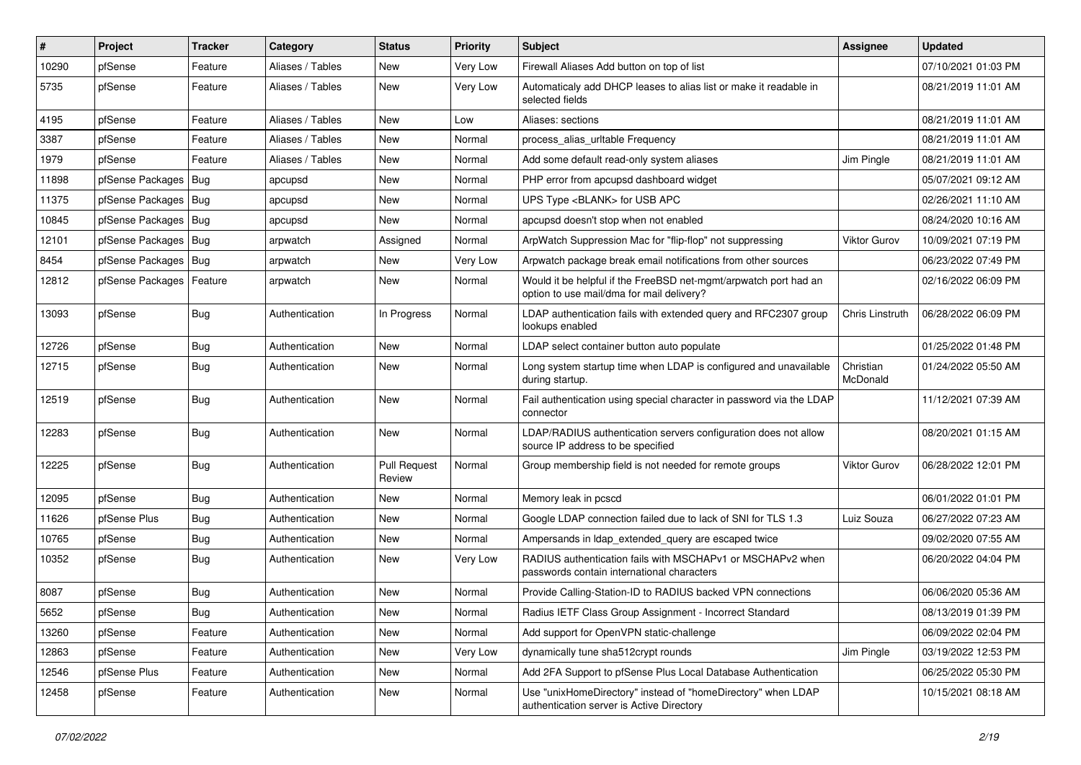| ∦     | Project                    | <b>Tracker</b> | Category         | <b>Status</b>                 | Priority | <b>Subject</b>                                                                                                | Assignee              | <b>Updated</b>      |
|-------|----------------------------|----------------|------------------|-------------------------------|----------|---------------------------------------------------------------------------------------------------------------|-----------------------|---------------------|
| 10290 | pfSense                    | Feature        | Aliases / Tables | New                           | Very Low | Firewall Aliases Add button on top of list                                                                    |                       | 07/10/2021 01:03 PM |
| 5735  | pfSense                    | Feature        | Aliases / Tables | New                           | Very Low | Automaticaly add DHCP leases to alias list or make it readable in<br>selected fields                          |                       | 08/21/2019 11:01 AM |
| 4195  | pfSense                    | Feature        | Aliases / Tables | New                           | Low      | Aliases: sections                                                                                             |                       | 08/21/2019 11:01 AM |
| 3387  | pfSense                    | Feature        | Aliases / Tables | New                           | Normal   | process_alias_urltable Frequency                                                                              |                       | 08/21/2019 11:01 AM |
| 1979  | pfSense                    | Feature        | Aliases / Tables | New                           | Normal   | Add some default read-only system aliases                                                                     | Jim Pingle            | 08/21/2019 11:01 AM |
| 11898 | pfSense Packages           | Bug            | apcupsd          | New                           | Normal   | PHP error from apcupsd dashboard widget                                                                       |                       | 05/07/2021 09:12 AM |
| 11375 | pfSense Packages           | Bug            | apcupsd          | New                           | Normal   | UPS Type <blank> for USB APC</blank>                                                                          |                       | 02/26/2021 11:10 AM |
| 10845 | pfSense Packages           | Bug            | apcupsd          | New                           | Normal   | apcupsd doesn't stop when not enabled                                                                         |                       | 08/24/2020 10:16 AM |
| 12101 | pfSense Packages           | Bug            | arpwatch         | Assigned                      | Normal   | ArpWatch Suppression Mac for "flip-flop" not suppressing                                                      | Viktor Gurov          | 10/09/2021 07:19 PM |
| 8454  | pfSense Packages           | Bug            | arpwatch         | New                           | Very Low | Arpwatch package break email notifications from other sources                                                 |                       | 06/23/2022 07:49 PM |
| 12812 | pfSense Packages   Feature |                | arpwatch         | New                           | Normal   | Would it be helpful if the FreeBSD net-mgmt/arpwatch port had an<br>option to use mail/dma for mail delivery? |                       | 02/16/2022 06:09 PM |
| 13093 | pfSense                    | <b>Bug</b>     | Authentication   | In Progress                   | Normal   | LDAP authentication fails with extended query and RFC2307 group<br>lookups enabled                            | Chris Linstruth       | 06/28/2022 06:09 PM |
| 12726 | pfSense                    | Bug            | Authentication   | New                           | Normal   | LDAP select container button auto populate                                                                    |                       | 01/25/2022 01:48 PM |
| 12715 | pfSense                    | Bug            | Authentication   | New                           | Normal   | Long system startup time when LDAP is configured and unavailable<br>during startup.                           | Christian<br>McDonald | 01/24/2022 05:50 AM |
| 12519 | pfSense                    | Bug            | Authentication   | New                           | Normal   | Fail authentication using special character in password via the LDAP<br>connector                             |                       | 11/12/2021 07:39 AM |
| 12283 | pfSense                    | <b>Bug</b>     | Authentication   | New                           | Normal   | LDAP/RADIUS authentication servers configuration does not allow<br>source IP address to be specified          |                       | 08/20/2021 01:15 AM |
| 12225 | pfSense                    | <b>Bug</b>     | Authentication   | <b>Pull Request</b><br>Review | Normal   | Group membership field is not needed for remote groups                                                        | <b>Viktor Gurov</b>   | 06/28/2022 12:01 PM |
| 12095 | pfSense                    | Bug            | Authentication   | New                           | Normal   | Memory leak in pcscd                                                                                          |                       | 06/01/2022 01:01 PM |
| 11626 | pfSense Plus               | <b>Bug</b>     | Authentication   | New                           | Normal   | Google LDAP connection failed due to lack of SNI for TLS 1.3                                                  | Luiz Souza            | 06/27/2022 07:23 AM |
| 10765 | pfSense                    | Bug            | Authentication   | New                           | Normal   | Ampersands in Idap extended query are escaped twice                                                           |                       | 09/02/2020 07:55 AM |
| 10352 | pfSense                    | <b>Bug</b>     | Authentication   | New                           | Very Low | RADIUS authentication fails with MSCHAPv1 or MSCHAPv2 when<br>passwords contain international characters      |                       | 06/20/2022 04:04 PM |
| 8087  | pfSense                    | <b>Bug</b>     | Authentication   | New                           | Normal   | Provide Calling-Station-ID to RADIUS backed VPN connections                                                   |                       | 06/06/2020 05:36 AM |
| 5652  | pfSense                    | Bug            | Authentication   | New                           | Normal   | Radius IETF Class Group Assignment - Incorrect Standard                                                       |                       | 08/13/2019 01:39 PM |
| 13260 | pfSense                    | Feature        | Authentication   | New                           | Normal   | Add support for OpenVPN static-challenge                                                                      |                       | 06/09/2022 02:04 PM |
| 12863 | pfSense                    | Feature        | Authentication   | New                           | Very Low | dynamically tune sha512crypt rounds                                                                           | Jim Pingle            | 03/19/2022 12:53 PM |
| 12546 | pfSense Plus               | Feature        | Authentication   | New                           | Normal   | Add 2FA Support to pfSense Plus Local Database Authentication                                                 |                       | 06/25/2022 05:30 PM |
| 12458 | pfSense                    | Feature        | Authentication   | New                           | Normal   | Use "unixHomeDirectory" instead of "homeDirectory" when LDAP<br>authentication server is Active Directory     |                       | 10/15/2021 08:18 AM |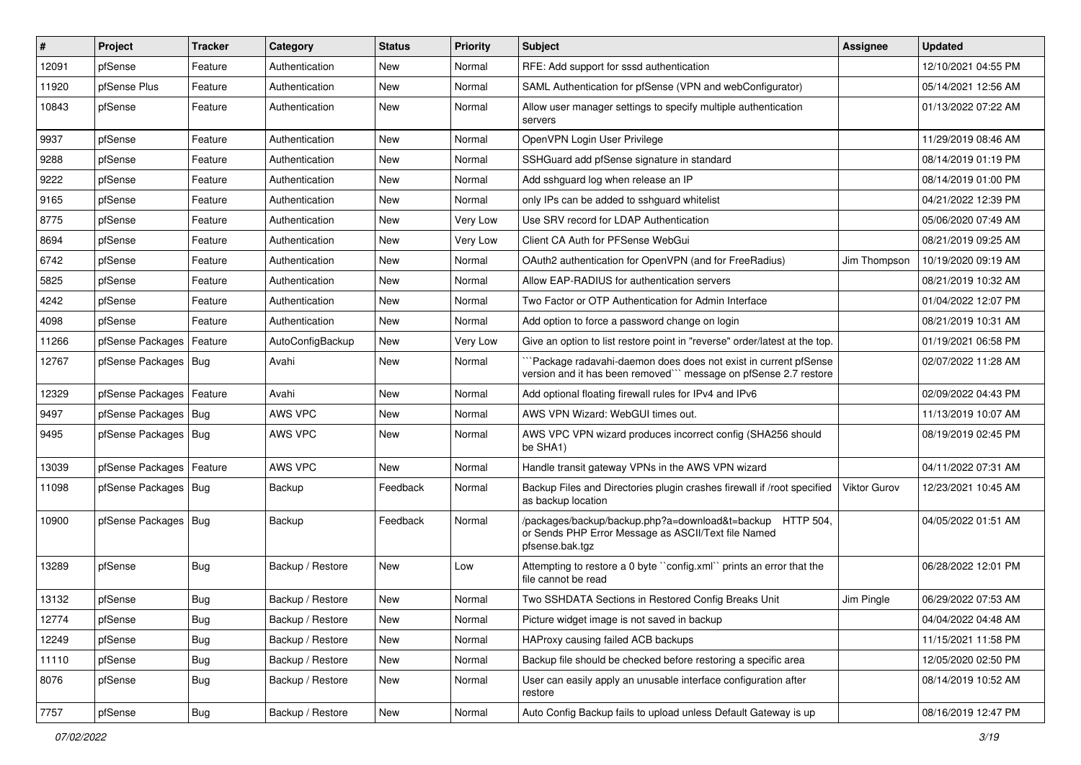| #     | Project                | <b>Tracker</b> | Category         | <b>Status</b> | <b>Priority</b> | <b>Subject</b>                                                                                                                      | <b>Assignee</b>     | <b>Updated</b>      |
|-------|------------------------|----------------|------------------|---------------|-----------------|-------------------------------------------------------------------------------------------------------------------------------------|---------------------|---------------------|
| 12091 | pfSense                | Feature        | Authentication   | New           | Normal          | RFE: Add support for sssd authentication                                                                                            |                     | 12/10/2021 04:55 PM |
| 11920 | pfSense Plus           | Feature        | Authentication   | <b>New</b>    | Normal          | SAML Authentication for pfSense (VPN and webConfigurator)                                                                           |                     | 05/14/2021 12:56 AM |
| 10843 | pfSense                | Feature        | Authentication   | New           | Normal          | Allow user manager settings to specify multiple authentication<br>servers                                                           |                     | 01/13/2022 07:22 AM |
| 9937  | pfSense                | Feature        | Authentication   | New           | Normal          | OpenVPN Login User Privilege                                                                                                        |                     | 11/29/2019 08:46 AM |
| 9288  | pfSense                | Feature        | Authentication   | <b>New</b>    | Normal          | SSHGuard add pfSense signature in standard                                                                                          |                     | 08/14/2019 01:19 PM |
| 9222  | pfSense                | Feature        | Authentication   | New           | Normal          | Add sshguard log when release an IP                                                                                                 |                     | 08/14/2019 01:00 PM |
| 9165  | pfSense                | Feature        | Authentication   | <b>New</b>    | Normal          | only IPs can be added to sshguard whitelist                                                                                         |                     | 04/21/2022 12:39 PM |
| 8775  | pfSense                | Feature        | Authentication   | New           | Very Low        | Use SRV record for LDAP Authentication                                                                                              |                     | 05/06/2020 07:49 AM |
| 8694  | pfSense                | Feature        | Authentication   | <b>New</b>    | Very Low        | Client CA Auth for PFSense WebGui                                                                                                   |                     | 08/21/2019 09:25 AM |
| 6742  | pfSense                | Feature        | Authentication   | New           | Normal          | OAuth2 authentication for OpenVPN (and for FreeRadius)                                                                              | Jim Thompson        | 10/19/2020 09:19 AM |
| 5825  | pfSense                | Feature        | Authentication   | <b>New</b>    | Normal          | Allow EAP-RADIUS for authentication servers                                                                                         |                     | 08/21/2019 10:32 AM |
| 4242  | pfSense                | Feature        | Authentication   | New           | Normal          | Two Factor or OTP Authentication for Admin Interface                                                                                |                     | 01/04/2022 12:07 PM |
| 4098  | pfSense                | Feature        | Authentication   | New           | Normal          | Add option to force a password change on login                                                                                      |                     | 08/21/2019 10:31 AM |
| 11266 | pfSense Packages       | Feature        | AutoConfigBackup | <b>New</b>    | Very Low        | Give an option to list restore point in "reverse" order/latest at the top.                                                          |                     | 01/19/2021 06:58 PM |
| 12767 | pfSense Packages       | Bug            | Avahi            | New           | Normal          | Package radavahi-daemon does does not exist in current pfSense<br>version and it has been removed``` message on pfSense 2.7 restore |                     | 02/07/2022 11:28 AM |
| 12329 | pfSense Packages       | Feature        | Avahi            | New           | Normal          | Add optional floating firewall rules for IPv4 and IPv6                                                                              |                     | 02/09/2022 04:43 PM |
| 9497  | pfSense Packages   Bug |                | AWS VPC          | <b>New</b>    | Normal          | AWS VPN Wizard: WebGUI times out.                                                                                                   |                     | 11/13/2019 10:07 AM |
| 9495  | pfSense Packages   Bug |                | AWS VPC          | New           | Normal          | AWS VPC VPN wizard produces incorrect config (SHA256 should<br>be SHA1)                                                             |                     | 08/19/2019 02:45 PM |
| 13039 | pfSense Packages       | Feature        | AWS VPC          | <b>New</b>    | Normal          | Handle transit gateway VPNs in the AWS VPN wizard                                                                                   |                     | 04/11/2022 07:31 AM |
| 11098 | pfSense Packages   Bug |                | Backup           | Feedback      | Normal          | Backup Files and Directories plugin crashes firewall if /root specified<br>as backup location                                       | <b>Viktor Gurov</b> | 12/23/2021 10:45 AM |
| 10900 | pfSense Packages   Bug |                | Backup           | Feedback      | Normal          | /packages/backup/backup.php?a=download&t=backup HTTP 504,<br>or Sends PHP Error Message as ASCII/Text file Named<br>pfsense.bak.tgz |                     | 04/05/2022 01:51 AM |
| 13289 | pfSense                | <b>Bug</b>     | Backup / Restore | <b>New</b>    | Low             | Attempting to restore a 0 byte "config.xml" prints an error that the<br>file cannot be read                                         |                     | 06/28/2022 12:01 PM |
| 13132 | pfSense                | <b>Bug</b>     | Backup / Restore | <b>New</b>    | Normal          | Two SSHDATA Sections in Restored Config Breaks Unit                                                                                 | Jim Pingle          | 06/29/2022 07:53 AM |
| 12774 | pfSense                | <b>Bug</b>     | Backup / Restore | New           | Normal          | Picture widget image is not saved in backup                                                                                         |                     | 04/04/2022 04:48 AM |
| 12249 | pfSense                | Bug            | Backup / Restore | New           | Normal          | HAProxy causing failed ACB backups                                                                                                  |                     | 11/15/2021 11:58 PM |
| 11110 | pfSense                | <b>Bug</b>     | Backup / Restore | New           | Normal          | Backup file should be checked before restoring a specific area                                                                      |                     | 12/05/2020 02:50 PM |
| 8076  | pfSense                | <b>Bug</b>     | Backup / Restore | New           | Normal          | User can easily apply an unusable interface configuration after<br>restore                                                          |                     | 08/14/2019 10:52 AM |
| 7757  | pfSense                | Bug            | Backup / Restore | New           | Normal          | Auto Config Backup fails to upload unless Default Gateway is up                                                                     |                     | 08/16/2019 12:47 PM |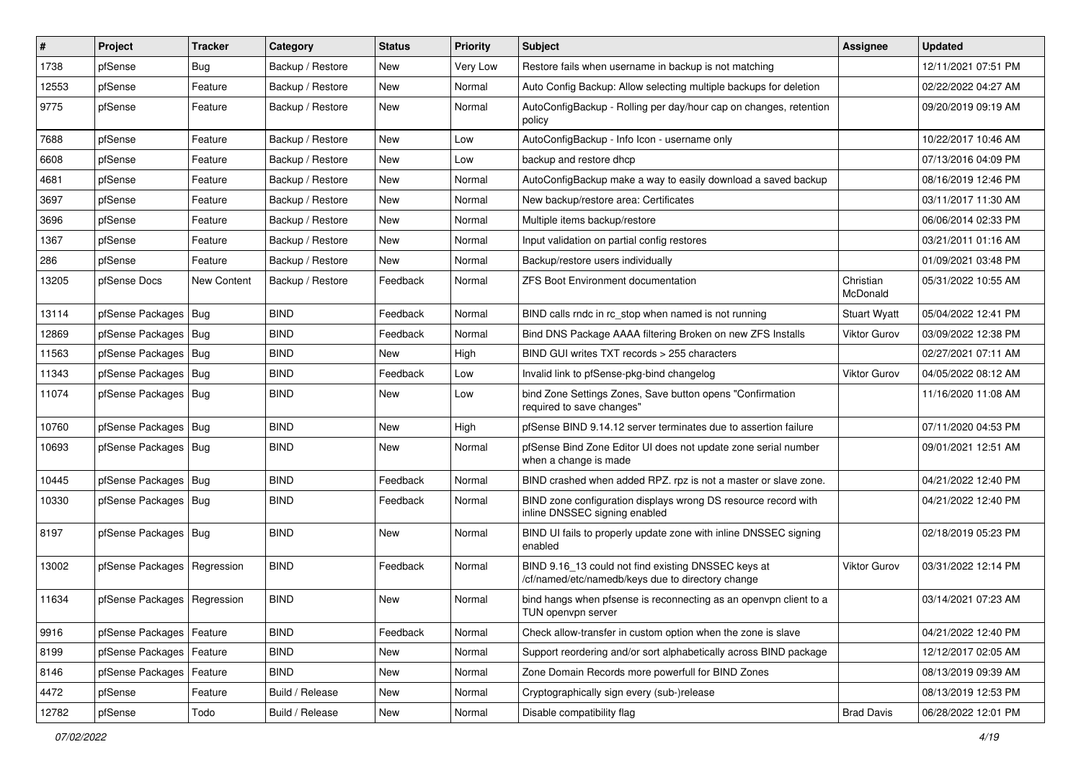| $\vert$ # | Project                       | <b>Tracker</b>     | Category         | <b>Status</b> | <b>Priority</b> | Subject                                                                                                  | <b>Assignee</b>       | <b>Updated</b>      |
|-----------|-------------------------------|--------------------|------------------|---------------|-----------------|----------------------------------------------------------------------------------------------------------|-----------------------|---------------------|
| 1738      | pfSense                       | <b>Bug</b>         | Backup / Restore | New           | Very Low        | Restore fails when username in backup is not matching                                                    |                       | 12/11/2021 07:51 PM |
| 12553     | pfSense                       | Feature            | Backup / Restore | New           | Normal          | Auto Config Backup: Allow selecting multiple backups for deletion                                        |                       | 02/22/2022 04:27 AM |
| 9775      | pfSense                       | Feature            | Backup / Restore | New           | Normal          | AutoConfigBackup - Rolling per day/hour cap on changes, retention<br>policy                              |                       | 09/20/2019 09:19 AM |
| 7688      | pfSense                       | Feature            | Backup / Restore | New           | Low             | AutoConfigBackup - Info Icon - username only                                                             |                       | 10/22/2017 10:46 AM |
| 6608      | pfSense                       | Feature            | Backup / Restore | <b>New</b>    | Low             | backup and restore dhcp                                                                                  |                       | 07/13/2016 04:09 PM |
| 4681      | pfSense                       | Feature            | Backup / Restore | New           | Normal          | AutoConfigBackup make a way to easily download a saved backup                                            |                       | 08/16/2019 12:46 PM |
| 3697      | pfSense                       | Feature            | Backup / Restore | New           | Normal          | New backup/restore area: Certificates                                                                    |                       | 03/11/2017 11:30 AM |
| 3696      | pfSense                       | Feature            | Backup / Restore | New           | Normal          | Multiple items backup/restore                                                                            |                       | 06/06/2014 02:33 PM |
| 1367      | pfSense                       | Feature            | Backup / Restore | <b>New</b>    | Normal          | Input validation on partial config restores                                                              |                       | 03/21/2011 01:16 AM |
| 286       | pfSense                       | Feature            | Backup / Restore | New           | Normal          | Backup/restore users individually                                                                        |                       | 01/09/2021 03:48 PM |
| 13205     | pfSense Docs                  | <b>New Content</b> | Backup / Restore | Feedback      | Normal          | <b>ZFS Boot Environment documentation</b>                                                                | Christian<br>McDonald | 05/31/2022 10:55 AM |
| 13114     | pfSense Packages              | Bug                | <b>BIND</b>      | Feedback      | Normal          | BIND calls rndc in rc stop when named is not running                                                     | <b>Stuart Wyatt</b>   | 05/04/2022 12:41 PM |
| 12869     | pfSense Packages   Bug        |                    | <b>BIND</b>      | Feedback      | Normal          | Bind DNS Package AAAA filtering Broken on new ZFS Installs                                               | Viktor Gurov          | 03/09/2022 12:38 PM |
| 11563     | pfSense Packages   Bug        |                    | <b>BIND</b>      | <b>New</b>    | High            | BIND GUI writes TXT records > 255 characters                                                             |                       | 02/27/2021 07:11 AM |
| 11343     | pfSense Packages   Bug        |                    | <b>BIND</b>      | Feedback      | Low             | Invalid link to pfSense-pkg-bind changelog                                                               | <b>Viktor Gurov</b>   | 04/05/2022 08:12 AM |
| 11074     | pfSense Packages   Bug        |                    | <b>BIND</b>      | New           | Low             | bind Zone Settings Zones, Save button opens "Confirmation<br>required to save changes"                   |                       | 11/16/2020 11:08 AM |
| 10760     | pfSense Packages   Bug        |                    | <b>BIND</b>      | <b>New</b>    | High            | pfSense BIND 9.14.12 server terminates due to assertion failure                                          |                       | 07/11/2020 04:53 PM |
| 10693     | pfSense Packages   Bug        |                    | <b>BIND</b>      | New           | Normal          | pfSense Bind Zone Editor UI does not update zone serial number<br>when a change is made                  |                       | 09/01/2021 12:51 AM |
| 10445     | pfSense Packages   Bug        |                    | <b>BIND</b>      | Feedback      | Normal          | BIND crashed when added RPZ. rpz is not a master or slave zone.                                          |                       | 04/21/2022 12:40 PM |
| 10330     | pfSense Packages   Bug        |                    | <b>BIND</b>      | Feedback      | Normal          | BIND zone configuration displays wrong DS resource record with<br>inline DNSSEC signing enabled          |                       | 04/21/2022 12:40 PM |
| 8197      | pfSense Packages   Bug        |                    | <b>BIND</b>      | <b>New</b>    | Normal          | BIND UI fails to properly update zone with inline DNSSEC signing<br>enabled                              |                       | 02/18/2019 05:23 PM |
| 13002     | pfSense Packages              | Regression         | <b>BIND</b>      | Feedback      | Normal          | BIND 9.16_13 could not find existing DNSSEC keys at<br>/cf/named/etc/namedb/keys due to directory change | <b>Viktor Gurov</b>   | 03/31/2022 12:14 PM |
| 11634     | pfSense Packages   Regression |                    | <b>BIND</b>      | <b>New</b>    | Normal          | bind hangs when pfsense is reconnecting as an openvpn client to a<br>TUN openvpn server                  |                       | 03/14/2021 07:23 AM |
| 9916      | pfSense Packages              | Feature            | <b>BIND</b>      | Feedback      | Normal          | Check allow-transfer in custom option when the zone is slave                                             |                       | 04/21/2022 12:40 PM |
| 8199      | pfSense Packages              | Feature            | <b>BIND</b>      | New           | Normal          | Support reordering and/or sort alphabetically across BIND package                                        |                       | 12/12/2017 02:05 AM |
| 8146      | pfSense Packages              | Feature            | <b>BIND</b>      | New           | Normal          | Zone Domain Records more powerfull for BIND Zones                                                        |                       | 08/13/2019 09:39 AM |
| 4472      | pfSense                       | Feature            | Build / Release  | New           | Normal          | Cryptographically sign every (sub-)release                                                               |                       | 08/13/2019 12:53 PM |
| 12782     | pfSense                       | Todo               | Build / Release  | New           | Normal          | Disable compatibility flag                                                                               | <b>Brad Davis</b>     | 06/28/2022 12:01 PM |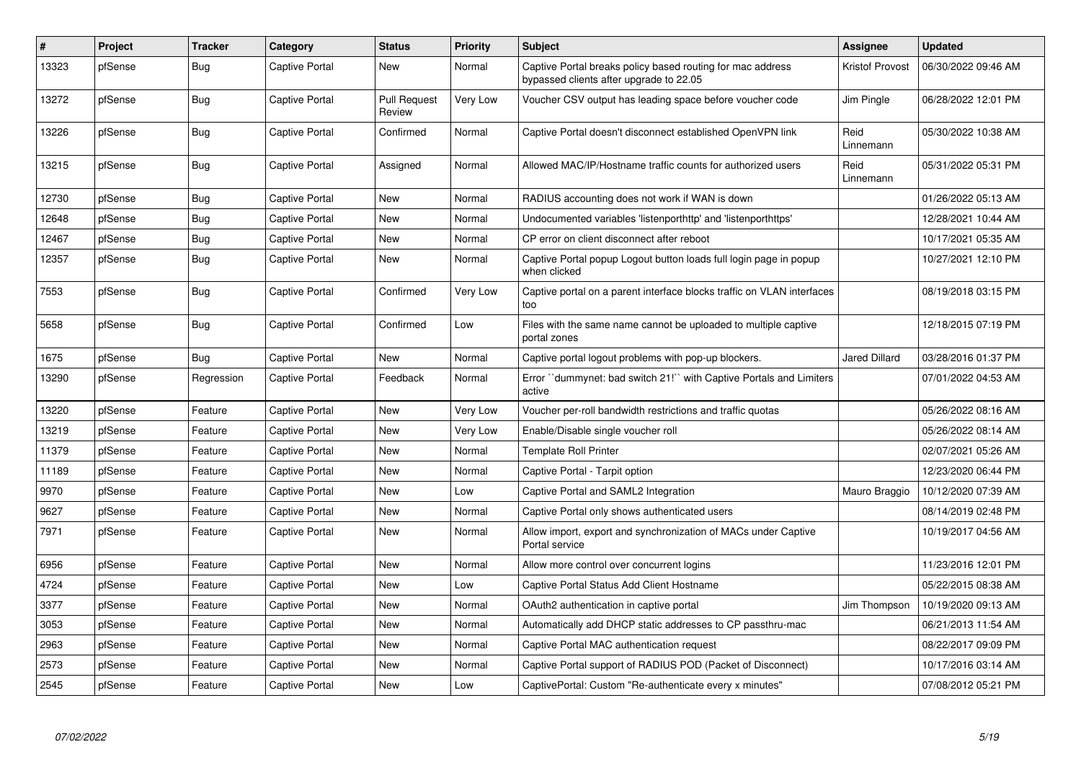| #     | Project | <b>Tracker</b> | Category              | <b>Status</b>                 | Priority | <b>Subject</b>                                                                                        | <b>Assignee</b>      | <b>Updated</b>      |
|-------|---------|----------------|-----------------------|-------------------------------|----------|-------------------------------------------------------------------------------------------------------|----------------------|---------------------|
| 13323 | pfSense | <b>Bug</b>     | <b>Captive Portal</b> | <b>New</b>                    | Normal   | Captive Portal breaks policy based routing for mac address<br>bypassed clients after upgrade to 22.05 | Kristof Provost      | 06/30/2022 09:46 AM |
| 13272 | pfSense | Bug            | <b>Captive Portal</b> | <b>Pull Request</b><br>Review | Very Low | Voucher CSV output has leading space before voucher code                                              | Jim Pingle           | 06/28/2022 12:01 PM |
| 13226 | pfSense | Bug            | <b>Captive Portal</b> | Confirmed                     | Normal   | Captive Portal doesn't disconnect established OpenVPN link                                            | Reid<br>Linnemann    | 05/30/2022 10:38 AM |
| 13215 | pfSense | <b>Bug</b>     | Captive Portal        | Assigned                      | Normal   | Allowed MAC/IP/Hostname traffic counts for authorized users                                           | Reid<br>Linnemann    | 05/31/2022 05:31 PM |
| 12730 | pfSense | <b>Bug</b>     | <b>Captive Portal</b> | New                           | Normal   | RADIUS accounting does not work if WAN is down                                                        |                      | 01/26/2022 05:13 AM |
| 12648 | pfSense | Bug            | <b>Captive Portal</b> | New                           | Normal   | Undocumented variables 'listenporthttp' and 'listenporthttps'                                         |                      | 12/28/2021 10:44 AM |
| 12467 | pfSense | <b>Bug</b>     | <b>Captive Portal</b> | <b>New</b>                    | Normal   | CP error on client disconnect after reboot                                                            |                      | 10/17/2021 05:35 AM |
| 12357 | pfSense | <b>Bug</b>     | Captive Portal        | New                           | Normal   | Captive Portal popup Logout button loads full login page in popup<br>when clicked                     |                      | 10/27/2021 12:10 PM |
| 7553  | pfSense | Bug            | <b>Captive Portal</b> | Confirmed                     | Very Low | Captive portal on a parent interface blocks traffic on VLAN interfaces<br>too                         |                      | 08/19/2018 03:15 PM |
| 5658  | pfSense | <b>Bug</b>     | <b>Captive Portal</b> | Confirmed                     | Low      | Files with the same name cannot be uploaded to multiple captive<br>portal zones                       |                      | 12/18/2015 07:19 PM |
| 1675  | pfSense | Bug            | <b>Captive Portal</b> | <b>New</b>                    | Normal   | Captive portal logout problems with pop-up blockers.                                                  | <b>Jared Dillard</b> | 03/28/2016 01:37 PM |
| 13290 | pfSense | Regression     | <b>Captive Portal</b> | Feedback                      | Normal   | Error ``dummynet: bad switch 21!`` with Captive Portals and Limiters<br>active                        |                      | 07/01/2022 04:53 AM |
| 13220 | pfSense | Feature        | <b>Captive Portal</b> | <b>New</b>                    | Very Low | Voucher per-roll bandwidth restrictions and traffic quotas                                            |                      | 05/26/2022 08:16 AM |
| 13219 | pfSense | Feature        | Captive Portal        | New                           | Very Low | Enable/Disable single voucher roll                                                                    |                      | 05/26/2022 08:14 AM |
| 11379 | pfSense | Feature        | <b>Captive Portal</b> | <b>New</b>                    | Normal   | Template Roll Printer                                                                                 |                      | 02/07/2021 05:26 AM |
| 11189 | pfSense | Feature        | <b>Captive Portal</b> | <b>New</b>                    | Normal   | Captive Portal - Tarpit option                                                                        |                      | 12/23/2020 06:44 PM |
| 9970  | pfSense | Feature        | Captive Portal        | New                           | Low      | Captive Portal and SAML2 Integration                                                                  | Mauro Braggio        | 10/12/2020 07:39 AM |
| 9627  | pfSense | Feature        | <b>Captive Portal</b> | New                           | Normal   | Captive Portal only shows authenticated users                                                         |                      | 08/14/2019 02:48 PM |
| 7971  | pfSense | Feature        | <b>Captive Portal</b> | New                           | Normal   | Allow import, export and synchronization of MACs under Captive<br>Portal service                      |                      | 10/19/2017 04:56 AM |
| 6956  | pfSense | Feature        | <b>Captive Portal</b> | New                           | Normal   | Allow more control over concurrent logins                                                             |                      | 11/23/2016 12:01 PM |
| 4724  | pfSense | Feature        | Captive Portal        | New                           | Low      | Captive Portal Status Add Client Hostname                                                             |                      | 05/22/2015 08:38 AM |
| 3377  | pfSense | Feature        | <b>Captive Portal</b> | <b>New</b>                    | Normal   | OAuth2 authentication in captive portal                                                               | Jim Thompson         | 10/19/2020 09:13 AM |
| 3053  | pfSense | Feature        | <b>Captive Portal</b> | <b>New</b>                    | Normal   | Automatically add DHCP static addresses to CP passthru-mac                                            |                      | 06/21/2013 11:54 AM |
| 2963  | pfSense | Feature        | Captive Portal        | New                           | Normal   | Captive Portal MAC authentication request                                                             |                      | 08/22/2017 09:09 PM |
| 2573  | pfSense | Feature        | <b>Captive Portal</b> | <b>New</b>                    | Normal   | Captive Portal support of RADIUS POD (Packet of Disconnect)                                           |                      | 10/17/2016 03:14 AM |
| 2545  | pfSense | Feature        | <b>Captive Portal</b> | <b>New</b>                    | Low      | CaptivePortal: Custom "Re-authenticate every x minutes"                                               |                      | 07/08/2012 05:21 PM |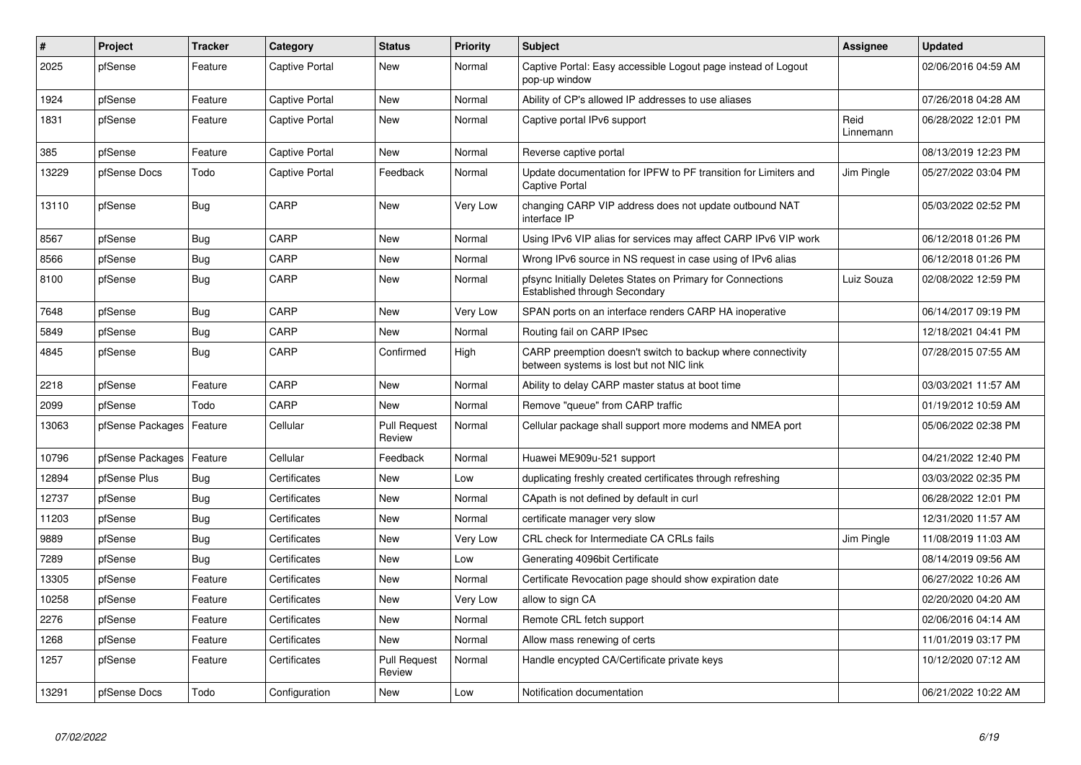| $\#$  | <b>Project</b>   | <b>Tracker</b> | Category       | <b>Status</b>                 | <b>Priority</b> | <b>Subject</b>                                                                                          | <b>Assignee</b>   | <b>Updated</b>      |
|-------|------------------|----------------|----------------|-------------------------------|-----------------|---------------------------------------------------------------------------------------------------------|-------------------|---------------------|
| 2025  | pfSense          | Feature        | Captive Portal | <b>New</b>                    | Normal          | Captive Portal: Easy accessible Logout page instead of Logout<br>pop-up window                          |                   | 02/06/2016 04:59 AM |
| 1924  | pfSense          | Feature        | Captive Portal | <b>New</b>                    | Normal          | Ability of CP's allowed IP addresses to use aliases                                                     |                   | 07/26/2018 04:28 AM |
| 1831  | pfSense          | Feature        | Captive Portal | <b>New</b>                    | Normal          | Captive portal IPv6 support                                                                             | Reid<br>Linnemann | 06/28/2022 12:01 PM |
| 385   | pfSense          | Feature        | Captive Portal | <b>New</b>                    | Normal          | Reverse captive portal                                                                                  |                   | 08/13/2019 12:23 PM |
| 13229 | pfSense Docs     | Todo           | Captive Portal | Feedback                      | Normal          | Update documentation for IPFW to PF transition for Limiters and<br>Captive Portal                       | Jim Pingle        | 05/27/2022 03:04 PM |
| 13110 | pfSense          | <b>Bug</b>     | CARP           | <b>New</b>                    | Very Low        | changing CARP VIP address does not update outbound NAT<br>interface IP                                  |                   | 05/03/2022 02:52 PM |
| 8567  | pfSense          | <b>Bug</b>     | CARP           | <b>New</b>                    | Normal          | Using IPv6 VIP alias for services may affect CARP IPv6 VIP work                                         |                   | 06/12/2018 01:26 PM |
| 8566  | pfSense          | Bug            | CARP           | <b>New</b>                    | Normal          | Wrong IPv6 source in NS request in case using of IPv6 alias                                             |                   | 06/12/2018 01:26 PM |
| 8100  | pfSense          | Bug            | CARP           | <b>New</b>                    | Normal          | pfsync Initially Deletes States on Primary for Connections<br>Established through Secondary             | Luiz Souza        | 02/08/2022 12:59 PM |
| 7648  | pfSense          | Bug            | CARP           | <b>New</b>                    | Very Low        | SPAN ports on an interface renders CARP HA inoperative                                                  |                   | 06/14/2017 09:19 PM |
| 5849  | pfSense          | <b>Bug</b>     | CARP           | <b>New</b>                    | Normal          | Routing fail on CARP IPsec                                                                              |                   | 12/18/2021 04:41 PM |
| 4845  | pfSense          | Bug            | CARP           | Confirmed                     | High            | CARP preemption doesn't switch to backup where connectivity<br>between systems is lost but not NIC link |                   | 07/28/2015 07:55 AM |
| 2218  | pfSense          | Feature        | CARP           | New                           | Normal          | Ability to delay CARP master status at boot time                                                        |                   | 03/03/2021 11:57 AM |
| 2099  | pfSense          | Todo           | CARP           | <b>New</b>                    | Normal          | Remove "queue" from CARP traffic                                                                        |                   | 01/19/2012 10:59 AM |
| 13063 | pfSense Packages | Feature        | Cellular       | <b>Pull Request</b><br>Review | Normal          | Cellular package shall support more modems and NMEA port                                                |                   | 05/06/2022 02:38 PM |
| 10796 | pfSense Packages | Feature        | Cellular       | Feedback                      | Normal          | Huawei ME909u-521 support                                                                               |                   | 04/21/2022 12:40 PM |
| 12894 | pfSense Plus     | <b>Bug</b>     | Certificates   | New                           | Low             | duplicating freshly created certificates through refreshing                                             |                   | 03/03/2022 02:35 PM |
| 12737 | pfSense          | Bug            | Certificates   | New                           | Normal          | CApath is not defined by default in curl                                                                |                   | 06/28/2022 12:01 PM |
| 11203 | pfSense          | <b>Bug</b>     | Certificates   | <b>New</b>                    | Normal          | certificate manager very slow                                                                           |                   | 12/31/2020 11:57 AM |
| 9889  | pfSense          | <b>Bug</b>     | Certificates   | <b>New</b>                    | Very Low        | CRL check for Intermediate CA CRLs fails                                                                | Jim Pingle        | 11/08/2019 11:03 AM |
| 7289  | pfSense          | Bug            | Certificates   | <b>New</b>                    | Low             | Generating 4096bit Certificate                                                                          |                   | 08/14/2019 09:56 AM |
| 13305 | pfSense          | Feature        | Certificates   | <b>New</b>                    | Normal          | Certificate Revocation page should show expiration date                                                 |                   | 06/27/2022 10:26 AM |
| 10258 | pfSense          | Feature        | Certificates   | <b>New</b>                    | Very Low        | allow to sign CA                                                                                        |                   | 02/20/2020 04:20 AM |
| 2276  | pfSense          | Feature        | Certificates   | <b>New</b>                    | Normal          | Remote CRL fetch support                                                                                |                   | 02/06/2016 04:14 AM |
| 1268  | pfSense          | Feature        | Certificates   | <b>New</b>                    | Normal          | Allow mass renewing of certs                                                                            |                   | 11/01/2019 03:17 PM |
| 1257  | pfSense          | Feature        | Certificates   | <b>Pull Request</b><br>Review | Normal          | Handle encypted CA/Certificate private keys                                                             |                   | 10/12/2020 07:12 AM |
| 13291 | pfSense Docs     | Todo           | Configuration  | New                           | Low             | Notification documentation                                                                              |                   | 06/21/2022 10:22 AM |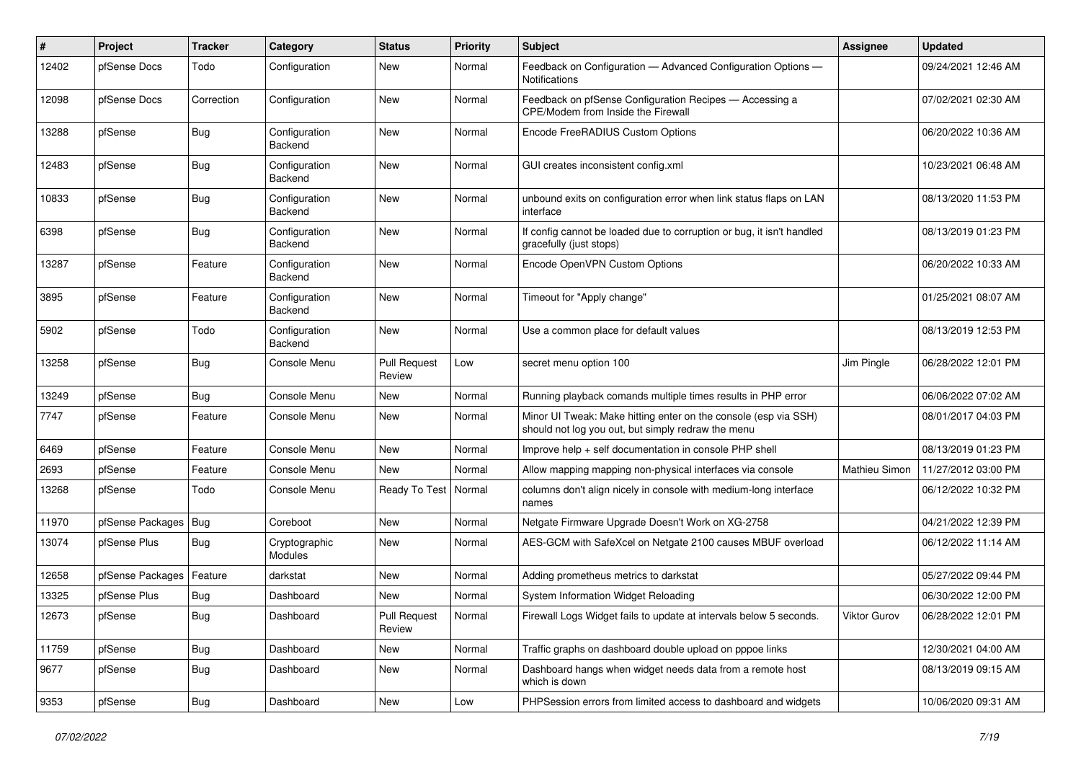| ∦     | Project          | <b>Tracker</b> | Category                 | <b>Status</b>                 | <b>Priority</b> | Subject                                                                                                               | Assignee             | <b>Updated</b>      |
|-------|------------------|----------------|--------------------------|-------------------------------|-----------------|-----------------------------------------------------------------------------------------------------------------------|----------------------|---------------------|
| 12402 | pfSense Docs     | Todo           | Configuration            | <b>New</b>                    | Normal          | Feedback on Configuration - Advanced Configuration Options -<br>Notifications                                         |                      | 09/24/2021 12:46 AM |
| 12098 | pfSense Docs     | Correction     | Configuration            | <b>New</b>                    | Normal          | Feedback on pfSense Configuration Recipes - Accessing a<br>CPE/Modem from Inside the Firewall                         |                      | 07/02/2021 02:30 AM |
| 13288 | pfSense          | <b>Bug</b>     | Configuration<br>Backend | <b>New</b>                    | Normal          | Encode FreeRADIUS Custom Options                                                                                      |                      | 06/20/2022 10:36 AM |
| 12483 | pfSense          | Bug            | Configuration<br>Backend | <b>New</b>                    | Normal          | GUI creates inconsistent config.xml                                                                                   |                      | 10/23/2021 06:48 AM |
| 10833 | pfSense          | <b>Bug</b>     | Configuration<br>Backend | <b>New</b>                    | Normal          | unbound exits on configuration error when link status flaps on LAN<br>interface                                       |                      | 08/13/2020 11:53 PM |
| 6398  | pfSense          | <b>Bug</b>     | Configuration<br>Backend | New                           | Normal          | If config cannot be loaded due to corruption or bug, it isn't handled<br>gracefully (just stops)                      |                      | 08/13/2019 01:23 PM |
| 13287 | pfSense          | Feature        | Configuration<br>Backend | <b>New</b>                    | Normal          | Encode OpenVPN Custom Options                                                                                         |                      | 06/20/2022 10:33 AM |
| 3895  | pfSense          | Feature        | Configuration<br>Backend | <b>New</b>                    | Normal          | Timeout for "Apply change"                                                                                            |                      | 01/25/2021 08:07 AM |
| 5902  | pfSense          | Todo           | Configuration<br>Backend | <b>New</b>                    | Normal          | Use a common place for default values                                                                                 |                      | 08/13/2019 12:53 PM |
| 13258 | pfSense          | <b>Bug</b>     | Console Menu             | <b>Pull Request</b><br>Review | Low             | secret menu option 100                                                                                                | Jim Pingle           | 06/28/2022 12:01 PM |
| 13249 | pfSense          | <b>Bug</b>     | Console Menu             | New                           | Normal          | Running playback comands multiple times results in PHP error                                                          |                      | 06/06/2022 07:02 AM |
| 7747  | pfSense          | Feature        | Console Menu             | New                           | Normal          | Minor UI Tweak: Make hitting enter on the console (esp via SSH)<br>should not log you out, but simply redraw the menu |                      | 08/01/2017 04:03 PM |
| 6469  | pfSense          | Feature        | Console Menu             | <b>New</b>                    | Normal          | Improve help + self documentation in console PHP shell                                                                |                      | 08/13/2019 01:23 PM |
| 2693  | pfSense          | Feature        | Console Menu             | <b>New</b>                    | Normal          | Allow mapping mapping non-physical interfaces via console                                                             | <b>Mathieu Simon</b> | 11/27/2012 03:00 PM |
| 13268 | pfSense          | Todo           | Console Menu             | Ready To Test                 | Normal          | columns don't align nicely in console with medium-long interface<br>names                                             |                      | 06/12/2022 10:32 PM |
| 11970 | pfSense Packages | <b>Bug</b>     | Coreboot                 | <b>New</b>                    | Normal          | Netgate Firmware Upgrade Doesn't Work on XG-2758                                                                      |                      | 04/21/2022 12:39 PM |
| 13074 | pfSense Plus     | Bug            | Cryptographic<br>Modules | <b>New</b>                    | Normal          | AES-GCM with SafeXcel on Netgate 2100 causes MBUF overload                                                            |                      | 06/12/2022 11:14 AM |
| 12658 | pfSense Packages | Feature        | darkstat                 | <b>New</b>                    | Normal          | Adding prometheus metrics to darkstat                                                                                 |                      | 05/27/2022 09:44 PM |
| 13325 | pfSense Plus     | <b>Bug</b>     | Dashboard                | <b>New</b>                    | Normal          | System Information Widget Reloading                                                                                   |                      | 06/30/2022 12:00 PM |
| 12673 | pfSense          | <b>Bug</b>     | Dashboard                | <b>Pull Request</b><br>Review | Normal          | Firewall Logs Widget fails to update at intervals below 5 seconds.                                                    | Viktor Gurov         | 06/28/2022 12:01 PM |
| 11759 | pfSense          | Bug            | Dashboard                | New                           | Normal          | Traffic graphs on dashboard double upload on pppoe links                                                              |                      | 12/30/2021 04:00 AM |
| 9677  | pfSense          | <b>Bug</b>     | Dashboard                | New                           | Normal          | Dashboard hangs when widget needs data from a remote host<br>which is down                                            |                      | 08/13/2019 09:15 AM |
| 9353  | pfSense          | Bug            | Dashboard                | New                           | Low             | PHPSession errors from limited access to dashboard and widgets                                                        |                      | 10/06/2020 09:31 AM |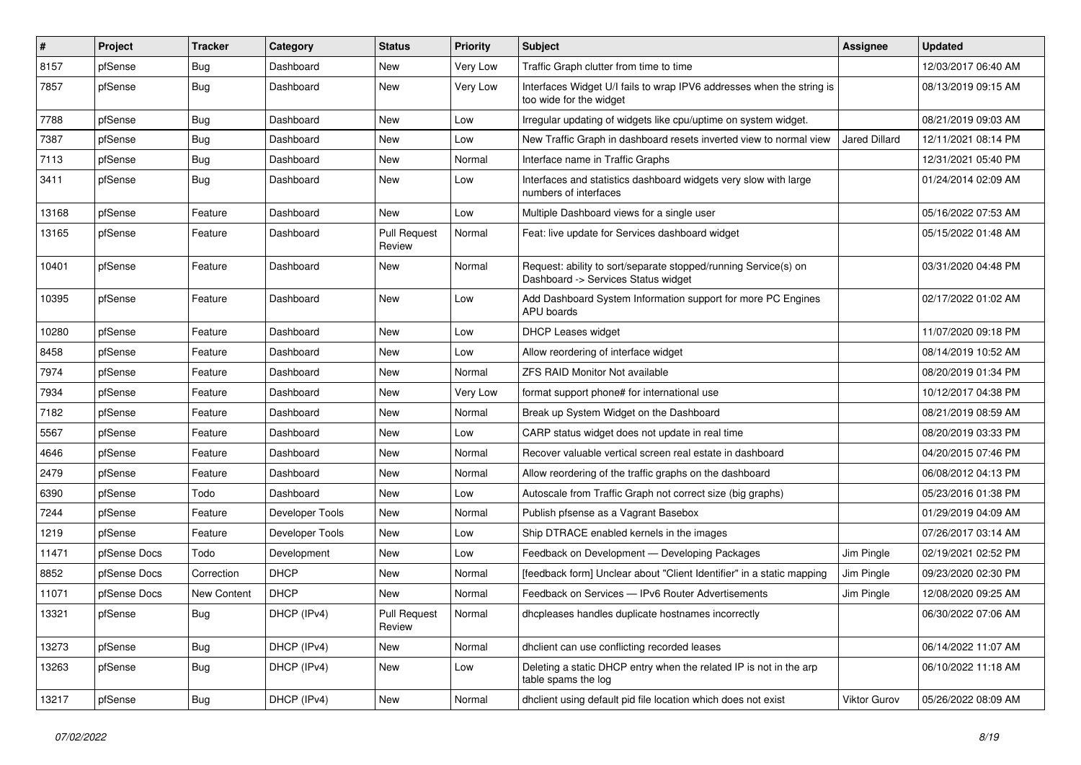| #     | Project      | <b>Tracker</b> | Category        | <b>Status</b>                 | <b>Priority</b> | <b>Subject</b>                                                                                         | Assignee      | <b>Updated</b>      |
|-------|--------------|----------------|-----------------|-------------------------------|-----------------|--------------------------------------------------------------------------------------------------------|---------------|---------------------|
| 8157  | pfSense      | <b>Bug</b>     | Dashboard       | New                           | Very Low        | Traffic Graph clutter from time to time                                                                |               | 12/03/2017 06:40 AM |
| 7857  | pfSense      | Bug            | Dashboard       | New                           | Very Low        | Interfaces Widget U/I fails to wrap IPV6 addresses when the string is<br>too wide for the widget       |               | 08/13/2019 09:15 AM |
| 7788  | pfSense      | Bug            | Dashboard       | <b>New</b>                    | Low             | Irregular updating of widgets like cpu/uptime on system widget.                                        |               | 08/21/2019 09:03 AM |
| 7387  | pfSense      | Bug            | Dashboard       | New                           | Low             | New Traffic Graph in dashboard resets inverted view to normal view                                     | Jared Dillard | 12/11/2021 08:14 PM |
| 7113  | pfSense      | <b>Bug</b>     | Dashboard       | New                           | Normal          | Interface name in Traffic Graphs                                                                       |               | 12/31/2021 05:40 PM |
| 3411  | pfSense      | Bug            | Dashboard       | New                           | Low             | Interfaces and statistics dashboard widgets very slow with large<br>numbers of interfaces              |               | 01/24/2014 02:09 AM |
| 13168 | pfSense      | Feature        | Dashboard       | <b>New</b>                    | Low             | Multiple Dashboard views for a single user                                                             |               | 05/16/2022 07:53 AM |
| 13165 | pfSense      | Feature        | Dashboard       | <b>Pull Request</b><br>Review | Normal          | Feat: live update for Services dashboard widget                                                        |               | 05/15/2022 01:48 AM |
| 10401 | pfSense      | Feature        | Dashboard       | <b>New</b>                    | Normal          | Request: ability to sort/separate stopped/running Service(s) on<br>Dashboard -> Services Status widget |               | 03/31/2020 04:48 PM |
| 10395 | pfSense      | Feature        | Dashboard       | <b>New</b>                    | Low             | Add Dashboard System Information support for more PC Engines<br>APU boards                             |               | 02/17/2022 01:02 AM |
| 10280 | pfSense      | Feature        | Dashboard       | <b>New</b>                    | Low             | <b>DHCP Leases widget</b>                                                                              |               | 11/07/2020 09:18 PM |
| 8458  | pfSense      | Feature        | Dashboard       | New                           | Low             | Allow reordering of interface widget                                                                   |               | 08/14/2019 10:52 AM |
| 7974  | pfSense      | Feature        | Dashboard       | <b>New</b>                    | Normal          | <b>ZFS RAID Monitor Not available</b>                                                                  |               | 08/20/2019 01:34 PM |
| 7934  | pfSense      | Feature        | Dashboard       | New                           | Very Low        | format support phone# for international use                                                            |               | 10/12/2017 04:38 PM |
| 7182  | pfSense      | Feature        | Dashboard       | <b>New</b>                    | Normal          | Break up System Widget on the Dashboard                                                                |               | 08/21/2019 08:59 AM |
| 5567  | pfSense      | Feature        | Dashboard       | New                           | Low             | CARP status widget does not update in real time                                                        |               | 08/20/2019 03:33 PM |
| 4646  | pfSense      | Feature        | Dashboard       | New                           | Normal          | Recover valuable vertical screen real estate in dashboard                                              |               | 04/20/2015 07:46 PM |
| 2479  | pfSense      | Feature        | Dashboard       | New                           | Normal          | Allow reordering of the traffic graphs on the dashboard                                                |               | 06/08/2012 04:13 PM |
| 6390  | pfSense      | Todo           | Dashboard       | New                           | Low             | Autoscale from Traffic Graph not correct size (big graphs)                                             |               | 05/23/2016 01:38 PM |
| 7244  | pfSense      | Feature        | Developer Tools | New                           | Normal          | Publish pfsense as a Vagrant Basebox                                                                   |               | 01/29/2019 04:09 AM |
| 1219  | pfSense      | Feature        | Developer Tools | New                           | Low             | Ship DTRACE enabled kernels in the images                                                              |               | 07/26/2017 03:14 AM |
| 11471 | pfSense Docs | Todo           | Development     | New                           | Low             | Feedback on Development - Developing Packages                                                          | Jim Pingle    | 02/19/2021 02:52 PM |
| 8852  | pfSense Docs | Correction     | <b>DHCP</b>     | New                           | Normal          | [feedback form] Unclear about "Client Identifier" in a static mapping                                  | Jim Pingle    | 09/23/2020 02:30 PM |
| 11071 | pfSense Docs | New Content    | <b>DHCP</b>     | New                           | Normal          | Feedback on Services - IPv6 Router Advertisements                                                      | Jim Pingle    | 12/08/2020 09:25 AM |
| 13321 | pfSense      | Bug            | DHCP (IPv4)     | <b>Pull Request</b><br>Review | Normal          | dhopleases handles duplicate hostnames incorrectly                                                     |               | 06/30/2022 07:06 AM |
| 13273 | pfSense      | <b>Bug</b>     | DHCP (IPv4)     | New                           | Normal          | dhclient can use conflicting recorded leases                                                           |               | 06/14/2022 11:07 AM |
| 13263 | pfSense      | <b>Bug</b>     | DHCP (IPv4)     | New                           | Low             | Deleting a static DHCP entry when the related IP is not in the arp<br>table spams the log              |               | 06/10/2022 11:18 AM |
| 13217 | pfSense      | <b>Bug</b>     | DHCP (IPv4)     | New                           | Normal          | dhclient using default pid file location which does not exist                                          | Viktor Gurov  | 05/26/2022 08:09 AM |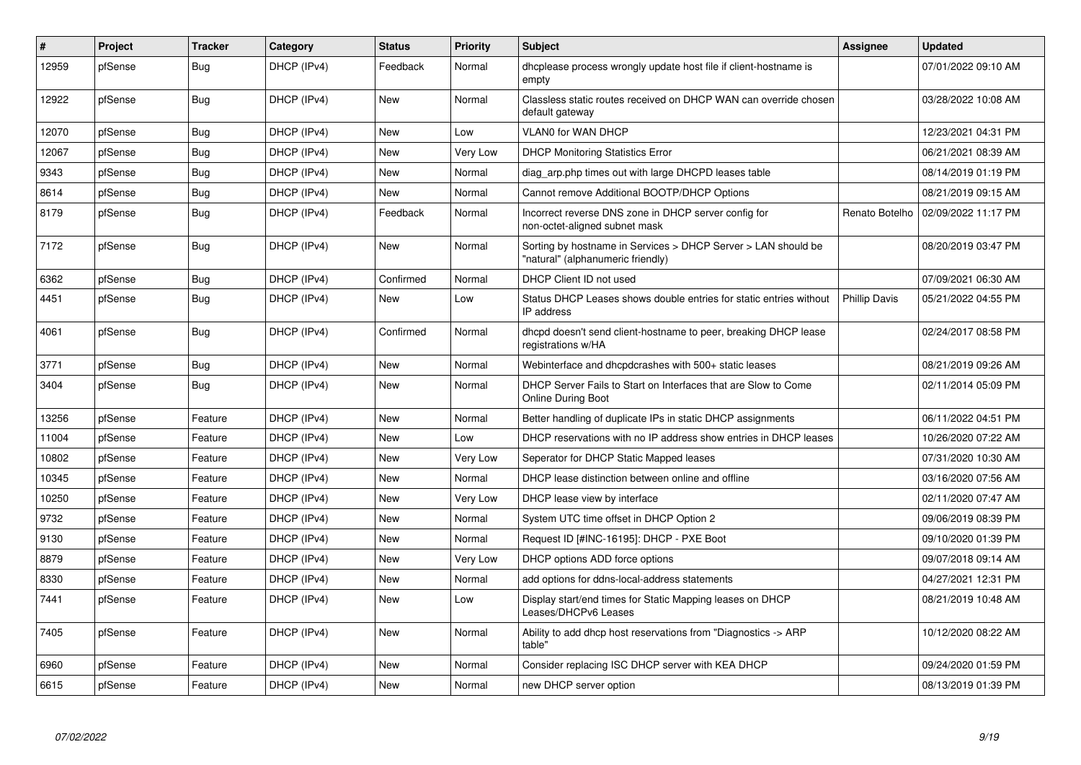| $\vert$ # | Project | <b>Tracker</b> | Category    | <b>Status</b> | <b>Priority</b> | <b>Subject</b>                                                                                     | <b>Assignee</b>      | <b>Updated</b>      |
|-----------|---------|----------------|-------------|---------------|-----------------|----------------------------------------------------------------------------------------------------|----------------------|---------------------|
| 12959     | pfSense | Bug            | DHCP (IPv4) | Feedback      | Normal          | dhcplease process wrongly update host file if client-hostname is<br>empty                          |                      | 07/01/2022 09:10 AM |
| 12922     | pfSense | Bug            | DHCP (IPv4) | <b>New</b>    | Normal          | Classless static routes received on DHCP WAN can override chosen<br>default gateway                |                      | 03/28/2022 10:08 AM |
| 12070     | pfSense | <b>Bug</b>     | DHCP (IPv4) | <b>New</b>    | Low             | VLAN0 for WAN DHCP                                                                                 |                      | 12/23/2021 04:31 PM |
| 12067     | pfSense | Bug            | DHCP (IPv4) | <b>New</b>    | Very Low        | <b>DHCP Monitoring Statistics Error</b>                                                            |                      | 06/21/2021 08:39 AM |
| 9343      | pfSense | <b>Bug</b>     | DHCP (IPv4) | <b>New</b>    | Normal          | diag arp.php times out with large DHCPD leases table                                               |                      | 08/14/2019 01:19 PM |
| 8614      | pfSense | <b>Bug</b>     | DHCP (IPv4) | <b>New</b>    | Normal          | Cannot remove Additional BOOTP/DHCP Options                                                        |                      | 08/21/2019 09:15 AM |
| 8179      | pfSense | <b>Bug</b>     | DHCP (IPv4) | Feedback      | Normal          | Incorrect reverse DNS zone in DHCP server config for<br>non-octet-aligned subnet mask              | Renato Botelho       | 02/09/2022 11:17 PM |
| 7172      | pfSense | <b>Bug</b>     | DHCP (IPv4) | <b>New</b>    | Normal          | Sorting by hostname in Services > DHCP Server > LAN should be<br>"natural" (alphanumeric friendly) |                      | 08/20/2019 03:47 PM |
| 6362      | pfSense | Bug            | DHCP (IPv4) | Confirmed     | Normal          | DHCP Client ID not used                                                                            |                      | 07/09/2021 06:30 AM |
| 4451      | pfSense | Bug            | DHCP (IPv4) | <b>New</b>    | Low             | Status DHCP Leases shows double entries for static entries without<br>IP address                   | <b>Phillip Davis</b> | 05/21/2022 04:55 PM |
| 4061      | pfSense | <b>Bug</b>     | DHCP (IPv4) | Confirmed     | Normal          | dhcpd doesn't send client-hostname to peer, breaking DHCP lease<br>registrations w/HA              |                      | 02/24/2017 08:58 PM |
| 3771      | pfSense | Bug            | DHCP (IPv4) | New           | Normal          | Webinterface and dhcpdcrashes with 500+ static leases                                              |                      | 08/21/2019 09:26 AM |
| 3404      | pfSense | Bug            | DHCP (IPv4) | <b>New</b>    | Normal          | DHCP Server Fails to Start on Interfaces that are Slow to Come<br><b>Online During Boot</b>        |                      | 02/11/2014 05:09 PM |
| 13256     | pfSense | Feature        | DHCP (IPv4) | <b>New</b>    | Normal          | Better handling of duplicate IPs in static DHCP assignments                                        |                      | 06/11/2022 04:51 PM |
| 11004     | pfSense | Feature        | DHCP (IPv4) | <b>New</b>    | Low             | DHCP reservations with no IP address show entries in DHCP leases                                   |                      | 10/26/2020 07:22 AM |
| 10802     | pfSense | Feature        | DHCP (IPv4) | <b>New</b>    | Very Low        | Seperator for DHCP Static Mapped leases                                                            |                      | 07/31/2020 10:30 AM |
| 10345     | pfSense | Feature        | DHCP (IPv4) | <b>New</b>    | Normal          | DHCP lease distinction between online and offline                                                  |                      | 03/16/2020 07:56 AM |
| 10250     | pfSense | Feature        | DHCP (IPv4) | <b>New</b>    | Very Low        | DHCP lease view by interface                                                                       |                      | 02/11/2020 07:47 AM |
| 9732      | pfSense | Feature        | DHCP (IPv4) | <b>New</b>    | Normal          | System UTC time offset in DHCP Option 2                                                            |                      | 09/06/2019 08:39 PM |
| 9130      | pfSense | Feature        | DHCP (IPv4) | <b>New</b>    | Normal          | Request ID [#INC-16195]: DHCP - PXE Boot                                                           |                      | 09/10/2020 01:39 PM |
| 8879      | pfSense | Feature        | DHCP (IPv4) | <b>New</b>    | Very Low        | DHCP options ADD force options                                                                     |                      | 09/07/2018 09:14 AM |
| 8330      | pfSense | Feature        | DHCP (IPv4) | <b>New</b>    | Normal          | add options for ddns-local-address statements                                                      |                      | 04/27/2021 12:31 PM |
| 7441      | pfSense | Feature        | DHCP (IPv4) | New           | Low             | Display start/end times for Static Mapping leases on DHCP<br>Leases/DHCPv6 Leases                  |                      | 08/21/2019 10:48 AM |
| 7405      | pfSense | Feature        | DHCP (IPv4) | <b>New</b>    | Normal          | Ability to add dhcp host reservations from "Diagnostics -> ARP<br>table"                           |                      | 10/12/2020 08:22 AM |
| 6960      | pfSense | Feature        | DHCP (IPv4) | <b>New</b>    | Normal          | Consider replacing ISC DHCP server with KEA DHCP                                                   |                      | 09/24/2020 01:59 PM |
| 6615      | pfSense | Feature        | DHCP (IPv4) | <b>New</b>    | Normal          | new DHCP server option                                                                             |                      | 08/13/2019 01:39 PM |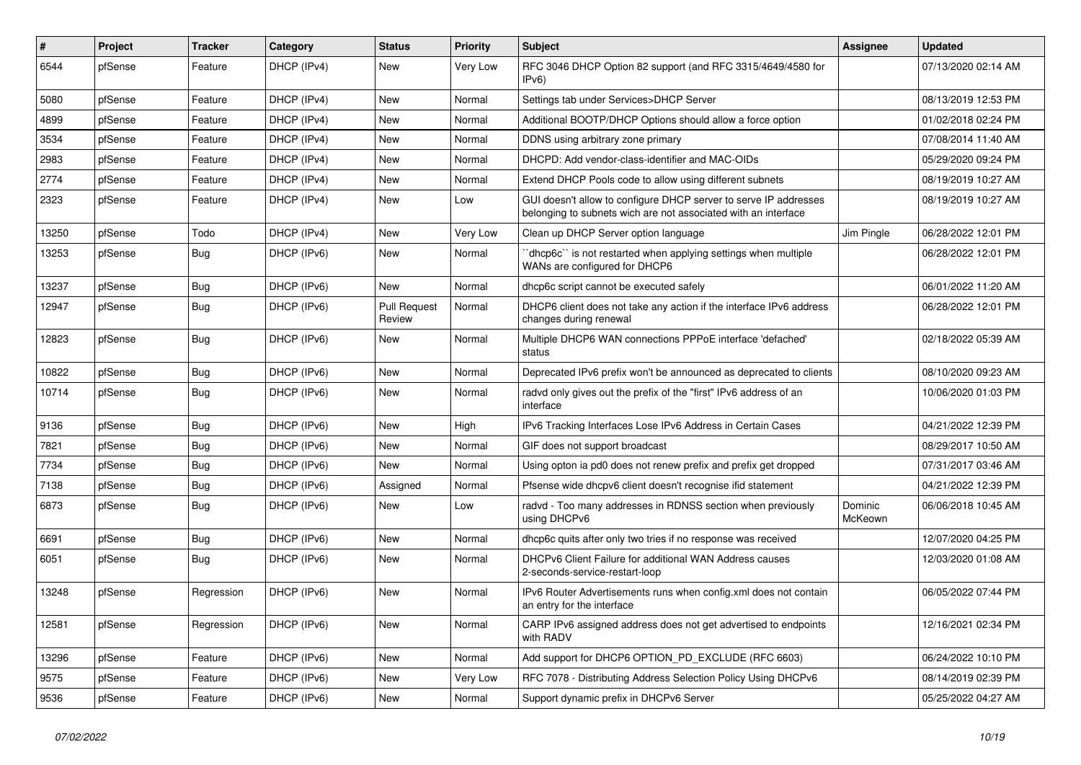| #     | Project | <b>Tracker</b> | Category    | <b>Status</b>                 | <b>Priority</b> | Subject                                                                                                                            | Assignee           | <b>Updated</b>      |
|-------|---------|----------------|-------------|-------------------------------|-----------------|------------------------------------------------------------------------------------------------------------------------------------|--------------------|---------------------|
| 6544  | pfSense | Feature        | DHCP (IPv4) | New                           | Very Low        | RFC 3046 DHCP Option 82 support (and RFC 3315/4649/4580 for<br>IPv6                                                                |                    | 07/13/2020 02:14 AM |
| 5080  | pfSense | Feature        | DHCP (IPv4) | New                           | Normal          | Settings tab under Services>DHCP Server                                                                                            |                    | 08/13/2019 12:53 PM |
| 4899  | pfSense | Feature        | DHCP (IPv4) | <b>New</b>                    | Normal          | Additional BOOTP/DHCP Options should allow a force option                                                                          |                    | 01/02/2018 02:24 PM |
| 3534  | pfSense | Feature        | DHCP (IPv4) | New                           | Normal          | DDNS using arbitrary zone primary                                                                                                  |                    | 07/08/2014 11:40 AM |
| 2983  | pfSense | Feature        | DHCP (IPv4) | <b>New</b>                    | Normal          | DHCPD: Add vendor-class-identifier and MAC-OIDs                                                                                    |                    | 05/29/2020 09:24 PM |
| 2774  | pfSense | Feature        | DHCP (IPv4) | New                           | Normal          | Extend DHCP Pools code to allow using different subnets                                                                            |                    | 08/19/2019 10:27 AM |
| 2323  | pfSense | Feature        | DHCP (IPv4) | New                           | Low             | GUI doesn't allow to configure DHCP server to serve IP addresses<br>belonging to subnets wich are not associated with an interface |                    | 08/19/2019 10:27 AM |
| 13250 | pfSense | Todo           | DHCP (IPv4) | <b>New</b>                    | Very Low        | Clean up DHCP Server option language                                                                                               | Jim Pingle         | 06/28/2022 12:01 PM |
| 13253 | pfSense | Bug            | DHCP (IPv6) | New                           | Normal          | dhcp6c" is not restarted when applying settings when multiple<br>WANs are configured for DHCP6                                     |                    | 06/28/2022 12:01 PM |
| 13237 | pfSense | Bug            | DHCP (IPv6) | New                           | Normal          | dhcp6c script cannot be executed safely                                                                                            |                    | 06/01/2022 11:20 AM |
| 12947 | pfSense | <b>Bug</b>     | DHCP (IPv6) | <b>Pull Request</b><br>Review | Normal          | DHCP6 client does not take any action if the interface IPv6 address<br>changes during renewal                                      |                    | 06/28/2022 12:01 PM |
| 12823 | pfSense | <b>Bug</b>     | DHCP (IPv6) | New                           | Normal          | Multiple DHCP6 WAN connections PPPoE interface 'defached'<br>status                                                                |                    | 02/18/2022 05:39 AM |
| 10822 | pfSense | Bug            | DHCP (IPv6) | New                           | Normal          | Deprecated IPv6 prefix won't be announced as deprecated to clients                                                                 |                    | 08/10/2020 09:23 AM |
| 10714 | pfSense | Bug            | DHCP (IPv6) | New                           | Normal          | radyd only gives out the prefix of the "first" IPv6 address of an<br>interface                                                     |                    | 10/06/2020 01:03 PM |
| 9136  | pfSense | <b>Bug</b>     | DHCP (IPv6) | New                           | High            | IPv6 Tracking Interfaces Lose IPv6 Address in Certain Cases                                                                        |                    | 04/21/2022 12:39 PM |
| 7821  | pfSense | <b>Bug</b>     | DHCP (IPv6) | New                           | Normal          | GIF does not support broadcast                                                                                                     |                    | 08/29/2017 10:50 AM |
| 7734  | pfSense | <b>Bug</b>     | DHCP (IPv6) | New                           | Normal          | Using opton ia pd0 does not renew prefix and prefix get dropped                                                                    |                    | 07/31/2017 03:46 AM |
| 7138  | pfSense | <b>Bug</b>     | DHCP (IPv6) | Assigned                      | Normal          | Pfsense wide dhcpv6 client doesn't recognise ifid statement                                                                        |                    | 04/21/2022 12:39 PM |
| 6873  | pfSense | Bug            | DHCP (IPv6) | New                           | Low             | radvd - Too many addresses in RDNSS section when previously<br>using DHCPv6                                                        | Dominic<br>McKeown | 06/06/2018 10:45 AM |
| 6691  | pfSense | <b>Bug</b>     | DHCP (IPv6) | New                           | Normal          | dhcp6c quits after only two tries if no response was received                                                                      |                    | 12/07/2020 04:25 PM |
| 6051  | pfSense | <b>Bug</b>     | DHCP (IPv6) | New                           | Normal          | DHCPv6 Client Failure for additional WAN Address causes<br>2-seconds-service-restart-loop                                          |                    | 12/03/2020 01:08 AM |
| 13248 | pfSense | Regression     | DHCP (IPv6) | New                           | Normal          | IPv6 Router Advertisements runs when config.xml does not contain<br>an entry for the interface                                     |                    | 06/05/2022 07:44 PM |
| 12581 | pfSense | Regression     | DHCP (IPv6) | New                           | Normal          | CARP IPv6 assigned address does not get advertised to endpoints<br>with RADV                                                       |                    | 12/16/2021 02:34 PM |
| 13296 | pfSense | Feature        | DHCP (IPv6) | New                           | Normal          | Add support for DHCP6 OPTION_PD_EXCLUDE (RFC 6603)                                                                                 |                    | 06/24/2022 10:10 PM |
| 9575  | pfSense | Feature        | DHCP (IPv6) | New                           | Very Low        | RFC 7078 - Distributing Address Selection Policy Using DHCPv6                                                                      |                    | 08/14/2019 02:39 PM |
| 9536  | pfSense | Feature        | DHCP (IPv6) | New                           | Normal          | Support dynamic prefix in DHCPv6 Server                                                                                            |                    | 05/25/2022 04:27 AM |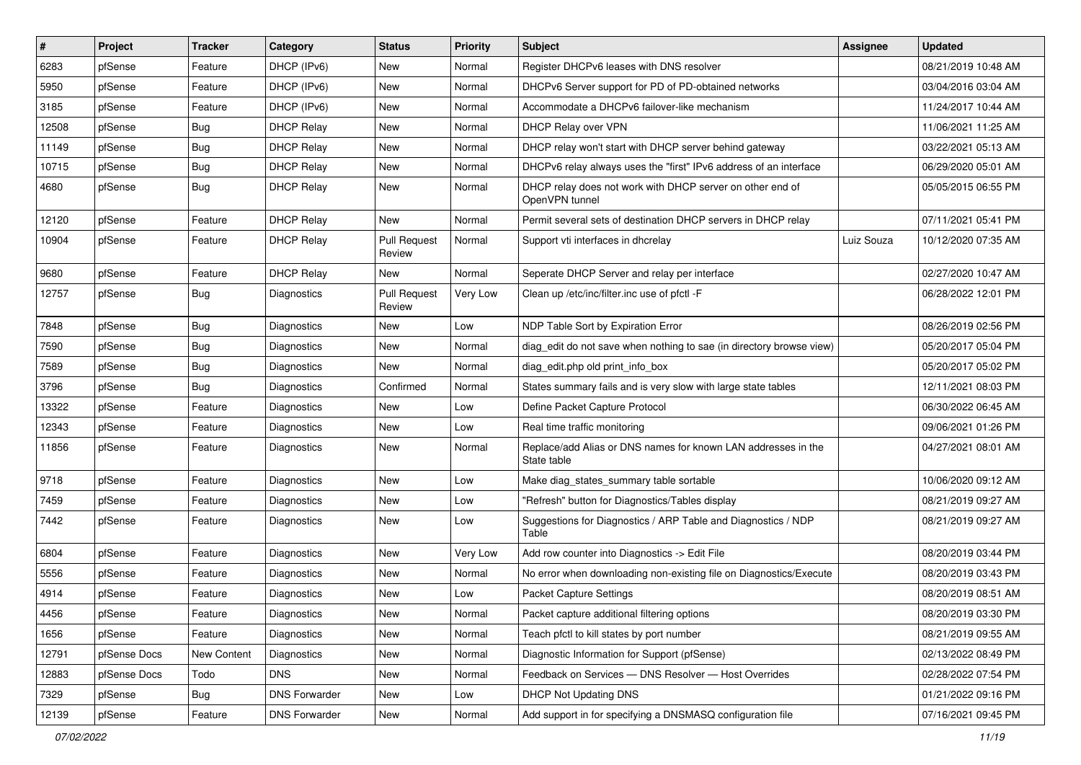| #     | Project      | <b>Tracker</b> | Category             | <b>Status</b>                 | <b>Priority</b> | Subject                                                                      | <b>Assignee</b> | <b>Updated</b>      |
|-------|--------------|----------------|----------------------|-------------------------------|-----------------|------------------------------------------------------------------------------|-----------------|---------------------|
| 6283  | pfSense      | Feature        | DHCP (IPv6)          | New                           | Normal          | Register DHCPv6 leases with DNS resolver                                     |                 | 08/21/2019 10:48 AM |
| 5950  | pfSense      | Feature        | DHCP (IPv6)          | New                           | Normal          | DHCPv6 Server support for PD of PD-obtained networks                         |                 | 03/04/2016 03:04 AM |
| 3185  | pfSense      | Feature        | DHCP (IPv6)          | New                           | Normal          | Accommodate a DHCPv6 failover-like mechanism                                 |                 | 11/24/2017 10:44 AM |
| 12508 | pfSense      | <b>Bug</b>     | <b>DHCP Relay</b>    | New                           | Normal          | DHCP Relay over VPN                                                          |                 | 11/06/2021 11:25 AM |
| 11149 | pfSense      | <b>Bug</b>     | <b>DHCP Relay</b>    | New                           | Normal          | DHCP relay won't start with DHCP server behind gateway                       |                 | 03/22/2021 05:13 AM |
| 10715 | pfSense      | <b>Bug</b>     | <b>DHCP Relay</b>    | New                           | Normal          | DHCPv6 relay always uses the "first" IPv6 address of an interface            |                 | 06/29/2020 05:01 AM |
| 4680  | pfSense      | Bug            | <b>DHCP Relay</b>    | New                           | Normal          | DHCP relay does not work with DHCP server on other end of<br>OpenVPN tunnel  |                 | 05/05/2015 06:55 PM |
| 12120 | pfSense      | Feature        | <b>DHCP Relav</b>    | New                           | Normal          | Permit several sets of destination DHCP servers in DHCP relay                |                 | 07/11/2021 05:41 PM |
| 10904 | pfSense      | Feature        | <b>DHCP Relay</b>    | <b>Pull Request</b><br>Review | Normal          | Support vti interfaces in dhcrelay                                           | Luiz Souza      | 10/12/2020 07:35 AM |
| 9680  | pfSense      | Feature        | <b>DHCP Relay</b>    | <b>New</b>                    | Normal          | Seperate DHCP Server and relay per interface                                 |                 | 02/27/2020 10:47 AM |
| 12757 | pfSense      | Bug            | Diagnostics          | <b>Pull Request</b><br>Review | Very Low        | Clean up /etc/inc/filter.inc use of pfctl -F                                 |                 | 06/28/2022 12:01 PM |
| 7848  | pfSense      | Bug            | <b>Diagnostics</b>   | <b>New</b>                    | Low             | NDP Table Sort by Expiration Error                                           |                 | 08/26/2019 02:56 PM |
| 7590  | pfSense      | Bug            | Diagnostics          | New                           | Normal          | diag_edit do not save when nothing to sae (in directory browse view)         |                 | 05/20/2017 05:04 PM |
| 7589  | pfSense      | <b>Bug</b>     | Diagnostics          | New                           | Normal          | diag edit.php old print info box                                             |                 | 05/20/2017 05:02 PM |
| 3796  | pfSense      | Bug            | <b>Diagnostics</b>   | Confirmed                     | Normal          | States summary fails and is very slow with large state tables                |                 | 12/11/2021 08:03 PM |
| 13322 | pfSense      | Feature        | Diagnostics          | New                           | Low             | Define Packet Capture Protocol                                               |                 | 06/30/2022 06:45 AM |
| 12343 | pfSense      | Feature        | Diagnostics          | New                           | Low             | Real time traffic monitoring                                                 |                 | 09/06/2021 01:26 PM |
| 11856 | pfSense      | Feature        | Diagnostics          | New                           | Normal          | Replace/add Alias or DNS names for known LAN addresses in the<br>State table |                 | 04/27/2021 08:01 AM |
| 9718  | pfSense      | Feature        | Diagnostics          | New                           | Low             | Make diag_states_summary table sortable                                      |                 | 10/06/2020 09:12 AM |
| 7459  | pfSense      | Feature        | <b>Diagnostics</b>   | New                           | Low             | "Refresh" button for Diagnostics/Tables display                              |                 | 08/21/2019 09:27 AM |
| 7442  | pfSense      | Feature        | Diagnostics          | New                           | Low             | Suggestions for Diagnostics / ARP Table and Diagnostics / NDP<br>Table       |                 | 08/21/2019 09:27 AM |
| 6804  | pfSense      | Feature        | Diagnostics          | New                           | Very Low        | Add row counter into Diagnostics -> Edit File                                |                 | 08/20/2019 03:44 PM |
| 5556  | pfSense      | Feature        | Diagnostics          | New                           | Normal          | No error when downloading non-existing file on Diagnostics/Execute           |                 | 08/20/2019 03:43 PM |
| 4914  | pfSense      | Feature        | Diagnostics          | New                           | Low             | Packet Capture Settings                                                      |                 | 08/20/2019 08:51 AM |
| 4456  | pfSense      | Feature        | Diagnostics          | New                           | Normal          | Packet capture additional filtering options                                  |                 | 08/20/2019 03:30 PM |
| 1656  | pfSense      | Feature        | Diagnostics          | New                           | Normal          | Teach pfctl to kill states by port number                                    |                 | 08/21/2019 09:55 AM |
| 12791 | pfSense Docs | New Content    | Diagnostics          | New                           | Normal          | Diagnostic Information for Support (pfSense)                                 |                 | 02/13/2022 08:49 PM |
| 12883 | pfSense Docs | Todo           | <b>DNS</b>           | New                           | Normal          | Feedback on Services - DNS Resolver - Host Overrides                         |                 | 02/28/2022 07:54 PM |
| 7329  | pfSense      | <b>Bug</b>     | <b>DNS Forwarder</b> | New                           | Low             | <b>DHCP Not Updating DNS</b>                                                 |                 | 01/21/2022 09:16 PM |
| 12139 | pfSense      | Feature        | <b>DNS Forwarder</b> | New                           | Normal          | Add support in for specifying a DNSMASQ configuration file                   |                 | 07/16/2021 09:45 PM |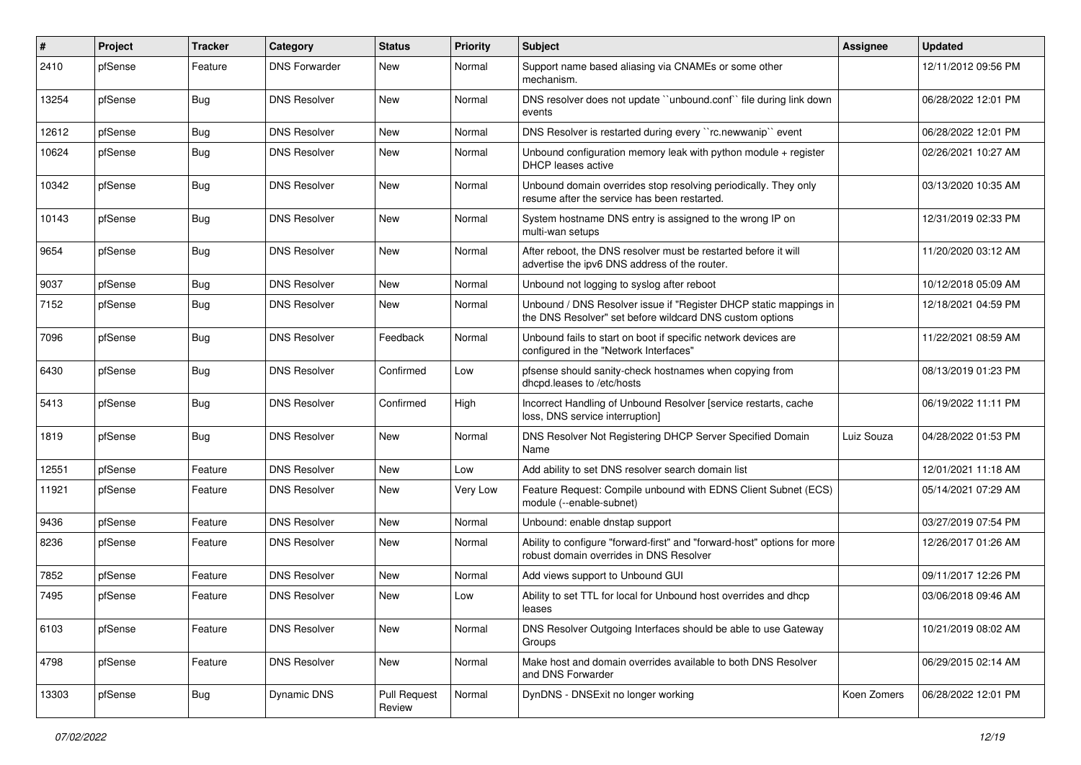| #     | Project | <b>Tracker</b> | Category             | <b>Status</b>                 | <b>Priority</b> | Subject                                                                                                                       | Assignee    | <b>Updated</b>      |
|-------|---------|----------------|----------------------|-------------------------------|-----------------|-------------------------------------------------------------------------------------------------------------------------------|-------------|---------------------|
| 2410  | pfSense | Feature        | <b>DNS Forwarder</b> | New                           | Normal          | Support name based aliasing via CNAMEs or some other<br>mechanism.                                                            |             | 12/11/2012 09:56 PM |
| 13254 | pfSense | Bug            | <b>DNS Resolver</b>  | New                           | Normal          | DNS resolver does not update "unbound.conf" file during link down<br>events                                                   |             | 06/28/2022 12:01 PM |
| 12612 | pfSense | Bug            | <b>DNS Resolver</b>  | New                           | Normal          | DNS Resolver is restarted during every "rc.newwanip" event                                                                    |             | 06/28/2022 12:01 PM |
| 10624 | pfSense | Bug            | <b>DNS Resolver</b>  | New                           | Normal          | Unbound configuration memory leak with python module $+$ register<br>DHCP leases active                                       |             | 02/26/2021 10:27 AM |
| 10342 | pfSense | Bug            | <b>DNS Resolver</b>  | <b>New</b>                    | Normal          | Unbound domain overrides stop resolving periodically. They only<br>resume after the service has been restarted.               |             | 03/13/2020 10:35 AM |
| 10143 | pfSense | Bug            | <b>DNS Resolver</b>  | New                           | Normal          | System hostname DNS entry is assigned to the wrong IP on<br>multi-wan setups                                                  |             | 12/31/2019 02:33 PM |
| 9654  | pfSense | Bug            | <b>DNS Resolver</b>  | New                           | Normal          | After reboot, the DNS resolver must be restarted before it will<br>advertise the ipv6 DNS address of the router.              |             | 11/20/2020 03:12 AM |
| 9037  | pfSense | Bug            | <b>DNS Resolver</b>  | New                           | Normal          | Unbound not logging to syslog after reboot                                                                                    |             | 10/12/2018 05:09 AM |
| 7152  | pfSense | Bug            | <b>DNS Resolver</b>  | New                           | Normal          | Unbound / DNS Resolver issue if "Register DHCP static mappings in<br>the DNS Resolver" set before wildcard DNS custom options |             | 12/18/2021 04:59 PM |
| 7096  | pfSense | Bug            | <b>DNS Resolver</b>  | Feedback                      | Normal          | Unbound fails to start on boot if specific network devices are<br>configured in the "Network Interfaces"                      |             | 11/22/2021 08:59 AM |
| 6430  | pfSense | Bug            | <b>DNS Resolver</b>  | Confirmed                     | Low             | pfsense should sanity-check hostnames when copying from<br>dhcpd.leases to /etc/hosts                                         |             | 08/13/2019 01:23 PM |
| 5413  | pfSense | Bug            | <b>DNS Resolver</b>  | Confirmed                     | High            | Incorrect Handling of Unbound Resolver [service restarts, cache<br>loss, DNS service interruption]                            |             | 06/19/2022 11:11 PM |
| 1819  | pfSense | Bug            | <b>DNS Resolver</b>  | New                           | Normal          | DNS Resolver Not Registering DHCP Server Specified Domain<br>Name                                                             | Luiz Souza  | 04/28/2022 01:53 PM |
| 12551 | pfSense | Feature        | <b>DNS Resolver</b>  | New                           | Low             | Add ability to set DNS resolver search domain list                                                                            |             | 12/01/2021 11:18 AM |
| 11921 | pfSense | Feature        | <b>DNS Resolver</b>  | New                           | Very Low        | Feature Request: Compile unbound with EDNS Client Subnet (ECS)<br>module (--enable-subnet)                                    |             | 05/14/2021 07:29 AM |
| 9436  | pfSense | Feature        | <b>DNS Resolver</b>  | New                           | Normal          | Unbound: enable dnstap support                                                                                                |             | 03/27/2019 07:54 PM |
| 8236  | pfSense | Feature        | <b>DNS Resolver</b>  | New                           | Normal          | Ability to configure "forward-first" and "forward-host" options for more<br>robust domain overrides in DNS Resolver           |             | 12/26/2017 01:26 AM |
| 7852  | pfSense | Feature        | <b>DNS Resolver</b>  | New                           | Normal          | Add views support to Unbound GUI                                                                                              |             | 09/11/2017 12:26 PM |
| 7495  | pfSense | Feature        | <b>DNS Resolver</b>  | <b>New</b>                    | Low             | Ability to set TTL for local for Unbound host overrides and dhcp<br>leases                                                    |             | 03/06/2018 09:46 AM |
| 6103  | pfSense | Feature        | <b>DNS Resolver</b>  | New                           | Normal          | DNS Resolver Outgoing Interfaces should be able to use Gateway<br>Groups                                                      |             | 10/21/2019 08:02 AM |
| 4798  | pfSense | Feature        | <b>DNS Resolver</b>  | New                           | Normal          | Make host and domain overrides available to both DNS Resolver<br>and DNS Forwarder                                            |             | 06/29/2015 02:14 AM |
| 13303 | pfSense | Bug            | Dynamic DNS          | <b>Pull Request</b><br>Review | Normal          | DynDNS - DNSExit no longer working                                                                                            | Koen Zomers | 06/28/2022 12:01 PM |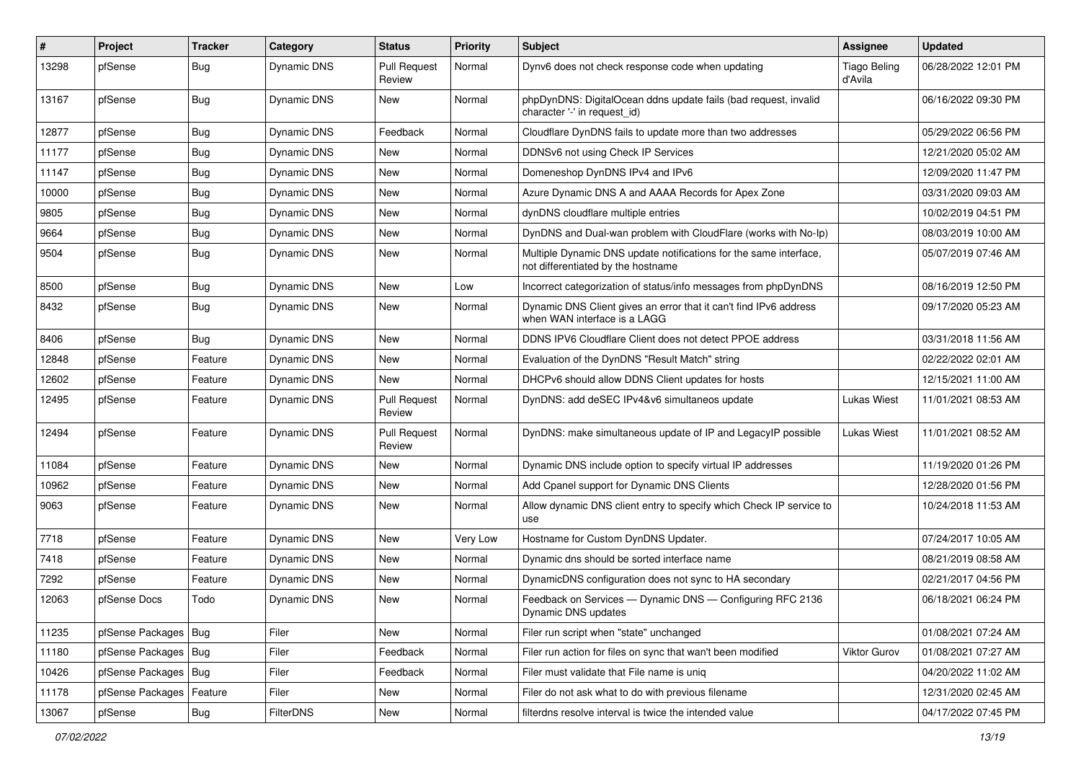| #     | Project          | <b>Tracker</b> | Category           | <b>Status</b>                 | <b>Priority</b> | Subject                                                                                                 | <b>Assignee</b>                | <b>Updated</b>      |
|-------|------------------|----------------|--------------------|-------------------------------|-----------------|---------------------------------------------------------------------------------------------------------|--------------------------------|---------------------|
| 13298 | pfSense          | <b>Bug</b>     | Dynamic DNS        | <b>Pull Request</b><br>Review | Normal          | Dynv6 does not check response code when updating                                                        | <b>Tiago Beling</b><br>d'Avila | 06/28/2022 12:01 PM |
| 13167 | pfSense          | Bug            | Dynamic DNS        | New                           | Normal          | phpDynDNS: DigitalOcean ddns update fails (bad request, invalid<br>character '-' in request id)         |                                | 06/16/2022 09:30 PM |
| 12877 | pfSense          | <b>Bug</b>     | <b>Dynamic DNS</b> | Feedback                      | Normal          | Cloudflare DynDNS fails to update more than two addresses                                               |                                | 05/29/2022 06:56 PM |
| 11177 | pfSense          | <b>Bug</b>     | Dynamic DNS        | New                           | Normal          | DDNSv6 not using Check IP Services                                                                      |                                | 12/21/2020 05:02 AM |
| 11147 | pfSense          | <b>Bug</b>     | Dynamic DNS        | New                           | Normal          | Domeneshop DynDNS IPv4 and IPv6                                                                         |                                | 12/09/2020 11:47 PM |
| 10000 | pfSense          | <b>Bug</b>     | Dynamic DNS        | <b>New</b>                    | Normal          | Azure Dynamic DNS A and AAAA Records for Apex Zone                                                      |                                | 03/31/2020 09:03 AM |
| 9805  | pfSense          | <b>Bug</b>     | Dynamic DNS        | New                           | Normal          | dynDNS cloudflare multiple entries                                                                      |                                | 10/02/2019 04:51 PM |
| 9664  | pfSense          | <b>Bug</b>     | Dynamic DNS        | <b>New</b>                    | Normal          | DynDNS and Dual-wan problem with CloudFlare (works with No-Ip)                                          |                                | 08/03/2019 10:00 AM |
| 9504  | pfSense          | Bug            | Dynamic DNS        | New                           | Normal          | Multiple Dynamic DNS update notifications for the same interface,<br>not differentiated by the hostname |                                | 05/07/2019 07:46 AM |
| 8500  | pfSense          | Bug            | Dynamic DNS        | <b>New</b>                    | Low             | Incorrect categorization of status/info messages from phpDynDNS                                         |                                | 08/16/2019 12:50 PM |
| 8432  | pfSense          | <b>Bug</b>     | Dynamic DNS        | New                           | Normal          | Dynamic DNS Client gives an error that it can't find IPv6 address<br>when WAN interface is a LAGG       |                                | 09/17/2020 05:23 AM |
| 8406  | pfSense          | Bug            | Dynamic DNS        | New                           | Normal          | DDNS IPV6 Cloudflare Client does not detect PPOE address                                                |                                | 03/31/2018 11:56 AM |
| 12848 | pfSense          | Feature        | <b>Dynamic DNS</b> | New                           | Normal          | Evaluation of the DynDNS "Result Match" string                                                          |                                | 02/22/2022 02:01 AM |
| 12602 | pfSense          | Feature        | Dynamic DNS        | <b>New</b>                    | Normal          | DHCPv6 should allow DDNS Client updates for hosts                                                       |                                | 12/15/2021 11:00 AM |
| 12495 | pfSense          | Feature        | Dynamic DNS        | <b>Pull Request</b><br>Review | Normal          | DynDNS: add deSEC IPv4&v6 simultaneos update                                                            | Lukas Wiest                    | 11/01/2021 08:53 AM |
| 12494 | pfSense          | Feature        | Dynamic DNS        | <b>Pull Request</b><br>Review | Normal          | DynDNS: make simultaneous update of IP and LegacyIP possible                                            | Lukas Wiest                    | 11/01/2021 08:52 AM |
| 11084 | pfSense          | Feature        | Dynamic DNS        | New                           | Normal          | Dynamic DNS include option to specify virtual IP addresses                                              |                                | 11/19/2020 01:26 PM |
| 10962 | pfSense          | Feature        | <b>Dynamic DNS</b> | New                           | Normal          | Add Cpanel support for Dynamic DNS Clients                                                              |                                | 12/28/2020 01:56 PM |
| 9063  | pfSense          | Feature        | Dynamic DNS        | New                           | Normal          | Allow dynamic DNS client entry to specify which Check IP service to<br>use                              |                                | 10/24/2018 11:53 AM |
| 7718  | pfSense          | Feature        | Dynamic DNS        | New                           | Very Low        | Hostname for Custom DynDNS Updater.                                                                     |                                | 07/24/2017 10:05 AM |
| 7418  | pfSense          | Feature        | Dynamic DNS        | New                           | Normal          | Dynamic dns should be sorted interface name                                                             |                                | 08/21/2019 08:58 AM |
| 7292  | pfSense          | Feature        | Dynamic DNS        | New                           | Normal          | DynamicDNS configuration does not sync to HA secondary                                                  |                                | 02/21/2017 04:56 PM |
| 12063 | pfSense Docs     | Todo           | Dynamic DNS        | New                           | Normal          | Feedback on Services - Dynamic DNS - Configuring RFC 2136<br>Dynamic DNS updates                        |                                | 06/18/2021 06:24 PM |
| 11235 | pfSense Packages | Bug            | Filer              | New                           | Normal          | Filer run script when "state" unchanged                                                                 |                                | 01/08/2021 07:24 AM |
| 11180 | pfSense Packages | Bug            | Filer              | Feedback                      | Normal          | Filer run action for files on sync that wan't been modified                                             | <b>Viktor Gurov</b>            | 01/08/2021 07:27 AM |
| 10426 | pfSense Packages | <b>Bug</b>     | Filer              | Feedback                      | Normal          | Filer must validate that File name is uniq                                                              |                                | 04/20/2022 11:02 AM |
| 11178 | pfSense Packages | Feature        | Filer              | New                           | Normal          | Filer do not ask what to do with previous filename                                                      |                                | 12/31/2020 02:45 AM |
| 13067 | pfSense          | Bug            | FilterDNS          | New                           | Normal          | filterdns resolve interval is twice the intended value                                                  |                                | 04/17/2022 07:45 PM |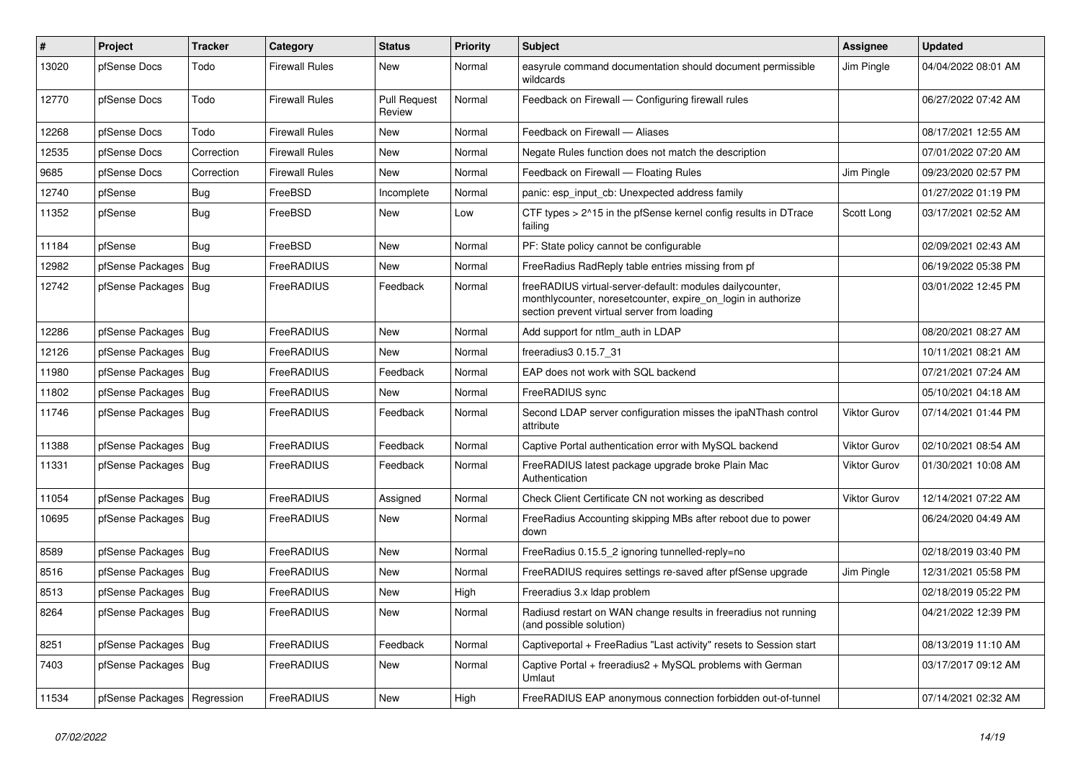| $\vert$ # | <b>Project</b>                | <b>Tracker</b> | Category              | <b>Status</b>                 | Priority | <b>Subject</b>                                                                                                                                                          | <b>Assignee</b> | <b>Updated</b>      |
|-----------|-------------------------------|----------------|-----------------------|-------------------------------|----------|-------------------------------------------------------------------------------------------------------------------------------------------------------------------------|-----------------|---------------------|
| 13020     | pfSense Docs                  | Todo           | <b>Firewall Rules</b> | <b>New</b>                    | Normal   | easyrule command documentation should document permissible<br>wildcards                                                                                                 | Jim Pingle      | 04/04/2022 08:01 AM |
| 12770     | pfSense Docs                  | Todo           | <b>Firewall Rules</b> | <b>Pull Request</b><br>Review | Normal   | Feedback on Firewall — Configuring firewall rules                                                                                                                       |                 | 06/27/2022 07:42 AM |
| 12268     | pfSense Docs                  | Todo           | <b>Firewall Rules</b> | New                           | Normal   | Feedback on Firewall - Aliases                                                                                                                                          |                 | 08/17/2021 12:55 AM |
| 12535     | pfSense Docs                  | Correction     | <b>Firewall Rules</b> | <b>New</b>                    | Normal   | Negate Rules function does not match the description                                                                                                                    |                 | 07/01/2022 07:20 AM |
| 9685      | pfSense Docs                  | Correction     | <b>Firewall Rules</b> | <b>New</b>                    | Normal   | Feedback on Firewall - Floating Rules                                                                                                                                   | Jim Pingle      | 09/23/2020 02:57 PM |
| 12740     | pfSense                       | <b>Bug</b>     | FreeBSD               | Incomplete                    | Normal   | panic: esp input cb: Unexpected address family                                                                                                                          |                 | 01/27/2022 01:19 PM |
| 11352     | pfSense                       | <b>Bug</b>     | FreeBSD               | <b>New</b>                    | Low      | CTF types > 2^15 in the pfSense kernel config results in DTrace<br>failing                                                                                              | Scott Long      | 03/17/2021 02:52 AM |
| 11184     | pfSense                       | <b>Bug</b>     | FreeBSD               | New                           | Normal   | PF: State policy cannot be configurable                                                                                                                                 |                 | 02/09/2021 02:43 AM |
| 12982     | pfSense Packages              | Bug            | FreeRADIUS            | New                           | Normal   | FreeRadius RadReply table entries missing from pf                                                                                                                       |                 | 06/19/2022 05:38 PM |
| 12742     | pfSense Packages   Bug        |                | FreeRADIUS            | Feedback                      | Normal   | freeRADIUS virtual-server-default: modules dailycounter,<br>monthlycounter, noresetcounter, expire on login in authorize<br>section prevent virtual server from loading |                 | 03/01/2022 12:45 PM |
| 12286     | pfSense Packages              | Bug            | FreeRADIUS            | <b>New</b>                    | Normal   | Add support for ntlm auth in LDAP                                                                                                                                       |                 | 08/20/2021 08:27 AM |
| 12126     | pfSense Packages              | Bug            | FreeRADIUS            | New                           | Normal   | freeradius3 0.15.7 31                                                                                                                                                   |                 | 10/11/2021 08:21 AM |
| 11980     | pfSense Packages              | Bug            | FreeRADIUS            | Feedback                      | Normal   | EAP does not work with SQL backend                                                                                                                                      |                 | 07/21/2021 07:24 AM |
| 11802     | pfSense Packages              | Bug            | FreeRADIUS            | <b>New</b>                    | Normal   | FreeRADIUS sync                                                                                                                                                         |                 | 05/10/2021 04:18 AM |
| 11746     | pfSense Packages   Bug        |                | FreeRADIUS            | Feedback                      | Normal   | Second LDAP server configuration misses the ipaNThash control<br>attribute                                                                                              | Viktor Gurov    | 07/14/2021 01:44 PM |
| 11388     | pfSense Packages              | Bug            | FreeRADIUS            | Feedback                      | Normal   | Captive Portal authentication error with MySQL backend                                                                                                                  | Viktor Gurov    | 02/10/2021 08:54 AM |
| 11331     | pfSense Packages   Bug        |                | FreeRADIUS            | Feedback                      | Normal   | FreeRADIUS latest package upgrade broke Plain Mac<br>Authentication                                                                                                     | Viktor Gurov    | 01/30/2021 10:08 AM |
| 11054     | pfSense Packages              | Bug            | FreeRADIUS            | Assigned                      | Normal   | Check Client Certificate CN not working as described                                                                                                                    | Viktor Gurov    | 12/14/2021 07:22 AM |
| 10695     | pfSense Packages   Bug        |                | FreeRADIUS            | New                           | Normal   | Free Radius Accounting skipping MBs after reboot due to power<br>down                                                                                                   |                 | 06/24/2020 04:49 AM |
| 8589      | pfSense Packages              | Bug            | FreeRADIUS            | <b>New</b>                    | Normal   | FreeRadius 0.15.5 2 ignoring tunnelled-reply=no                                                                                                                         |                 | 02/18/2019 03:40 PM |
| 8516      | pfSense Packages              | <b>Bug</b>     | FreeRADIUS            | <b>New</b>                    | Normal   | FreeRADIUS requires settings re-saved after pfSense upgrade                                                                                                             | Jim Pingle      | 12/31/2021 05:58 PM |
| 8513      | pfSense Packages              | <b>Bug</b>     | FreeRADIUS            | New                           | High     | Freeradius 3.x Idap problem                                                                                                                                             |                 | 02/18/2019 05:22 PM |
| 8264      | pfSense Packages              | Bug            | FreeRADIUS            | New                           | Normal   | Radiusd restart on WAN change results in freeradius not running<br>(and possible solution)                                                                              |                 | 04/21/2022 12:39 PM |
| 8251      | pfSense Packages              | Bug            | FreeRADIUS            | Feedback                      | Normal   | Captiveportal + FreeRadius "Last activity" resets to Session start                                                                                                      |                 | 08/13/2019 11:10 AM |
| 7403      | pfSense Packages              | Bug            | FreeRADIUS            | New                           | Normal   | Captive Portal + freeradius2 + MySQL problems with German<br>Umlaut                                                                                                     |                 | 03/17/2017 09:12 AM |
| 11534     | pfSense Packages   Regression |                | FreeRADIUS            | <b>New</b>                    | High     | FreeRADIUS EAP anonymous connection forbidden out-of-tunnel                                                                                                             |                 | 07/14/2021 02:32 AM |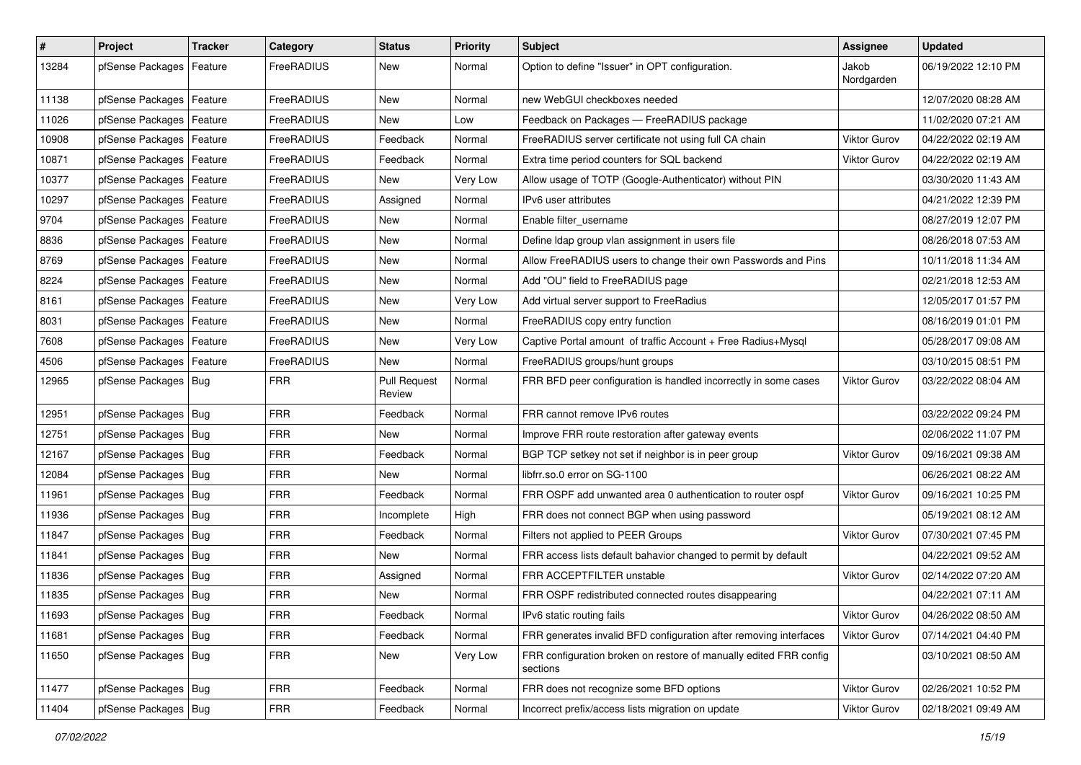| #     | Project                    | <b>Tracker</b> | Category   | <b>Status</b>                 | <b>Priority</b> | <b>Subject</b>                                                                | Assignee            | <b>Updated</b>      |
|-------|----------------------------|----------------|------------|-------------------------------|-----------------|-------------------------------------------------------------------------------|---------------------|---------------------|
| 13284 | pfSense Packages           | Feature        | FreeRADIUS | New                           | Normal          | Option to define "Issuer" in OPT configuration.                               | Jakob<br>Nordgarden | 06/19/2022 12:10 PM |
| 11138 | pfSense Packages           | Feature        | FreeRADIUS | <b>New</b>                    | Normal          | new WebGUI checkboxes needed                                                  |                     | 12/07/2020 08:28 AM |
| 11026 | pfSense Packages   Feature |                | FreeRADIUS | New                           | Low             | Feedback on Packages - FreeRADIUS package                                     |                     | 11/02/2020 07:21 AM |
| 10908 | pfSense Packages           | Feature        | FreeRADIUS | Feedback                      | Normal          | FreeRADIUS server certificate not using full CA chain                         | <b>Viktor Gurov</b> | 04/22/2022 02:19 AM |
| 10871 | pfSense Packages   Feature |                | FreeRADIUS | Feedback                      | Normal          | Extra time period counters for SQL backend                                    | <b>Viktor Gurov</b> | 04/22/2022 02:19 AM |
| 10377 | pfSense Packages           | Feature        | FreeRADIUS | <b>New</b>                    | Very Low        | Allow usage of TOTP (Google-Authenticator) without PIN                        |                     | 03/30/2020 11:43 AM |
| 10297 | pfSense Packages   Feature |                | FreeRADIUS | Assigned                      | Normal          | IPv6 user attributes                                                          |                     | 04/21/2022 12:39 PM |
| 9704  | pfSense Packages   Feature |                | FreeRADIUS | <b>New</b>                    | Normal          | Enable filter username                                                        |                     | 08/27/2019 12:07 PM |
| 8836  | pfSense Packages           | Feature        | FreeRADIUS | New                           | Normal          | Define Idap group vlan assignment in users file                               |                     | 08/26/2018 07:53 AM |
| 8769  | pfSense Packages           | Feature        | FreeRADIUS | <b>New</b>                    | Normal          | Allow FreeRADIUS users to change their own Passwords and Pins                 |                     | 10/11/2018 11:34 AM |
| 8224  | pfSense Packages   Feature |                | FreeRADIUS | New                           | Normal          | Add "OU" field to FreeRADIUS page                                             |                     | 02/21/2018 12:53 AM |
| 8161  | pfSense Packages           | Feature        | FreeRADIUS | New                           | Very Low        | Add virtual server support to FreeRadius                                      |                     | 12/05/2017 01:57 PM |
| 8031  | pfSense Packages   Feature |                | FreeRADIUS | New                           | Normal          | FreeRADIUS copy entry function                                                |                     | 08/16/2019 01:01 PM |
| 7608  | pfSense Packages           | Feature        | FreeRADIUS | New                           | Very Low        | Captive Portal amount of traffic Account + Free Radius+Mysql                  |                     | 05/28/2017 09:08 AM |
| 4506  | pfSense Packages           | Feature        | FreeRADIUS | <b>New</b>                    | Normal          | FreeRADIUS groups/hunt groups                                                 |                     | 03/10/2015 08:51 PM |
| 12965 | pfSense Packages   Bug     |                | <b>FRR</b> | <b>Pull Request</b><br>Review | Normal          | FRR BFD peer configuration is handled incorrectly in some cases               | Viktor Gurov        | 03/22/2022 08:04 AM |
| 12951 | pfSense Packages   Bug     |                | <b>FRR</b> | Feedback                      | Normal          | FRR cannot remove IPv6 routes                                                 |                     | 03/22/2022 09:24 PM |
| 12751 | pfSense Packages   Bug     |                | <b>FRR</b> | <b>New</b>                    | Normal          | Improve FRR route restoration after gateway events                            |                     | 02/06/2022 11:07 PM |
| 12167 | pfSense Packages   Bug     |                | <b>FRR</b> | Feedback                      | Normal          | BGP TCP setkey not set if neighbor is in peer group                           | Viktor Gurov        | 09/16/2021 09:38 AM |
| 12084 | pfSense Packages   Bug     |                | <b>FRR</b> | <b>New</b>                    | Normal          | libfrr.so.0 error on SG-1100                                                  |                     | 06/26/2021 08:22 AM |
| 11961 | pfSense Packages   Bug     |                | <b>FRR</b> | Feedback                      | Normal          | FRR OSPF add unwanted area 0 authentication to router ospf                    | Viktor Gurov        | 09/16/2021 10:25 PM |
| 11936 | pfSense Packages   Bug     |                | <b>FRR</b> | Incomplete                    | High            | FRR does not connect BGP when using password                                  |                     | 05/19/2021 08:12 AM |
| 11847 | pfSense Packages   Bug     |                | <b>FRR</b> | Feedback                      | Normal          | Filters not applied to PEER Groups                                            | Viktor Gurov        | 07/30/2021 07:45 PM |
| 11841 | pfSense Packages   Bug     |                | <b>FRR</b> | <b>New</b>                    | Normal          | FRR access lists default bahavior changed to permit by default                |                     | 04/22/2021 09:52 AM |
| 11836 | pfSense Packages   Bug     |                | <b>FRR</b> | Assigned                      | Normal          | FRR ACCEPTFILTER unstable                                                     | Viktor Gurov        | 02/14/2022 07:20 AM |
| 11835 | pfSense Packages   Bug     |                | <b>FRR</b> | New                           | Normal          | FRR OSPF redistributed connected routes disappearing                          |                     | 04/22/2021 07:11 AM |
| 11693 | pfSense Packages   Bug     |                | <b>FRR</b> | Feedback                      | Normal          | IPv6 static routing fails                                                     | Viktor Gurov        | 04/26/2022 08:50 AM |
| 11681 | pfSense Packages   Bug     |                | <b>FRR</b> | Feedback                      | Normal          | FRR generates invalid BFD configuration after removing interfaces             | Viktor Gurov        | 07/14/2021 04:40 PM |
| 11650 | pfSense Packages   Bug     |                | <b>FRR</b> | New                           | Very Low        | FRR configuration broken on restore of manually edited FRR config<br>sections |                     | 03/10/2021 08:50 AM |
| 11477 | pfSense Packages   Bug     |                | <b>FRR</b> | Feedback                      | Normal          | FRR does not recognize some BFD options                                       | Viktor Gurov        | 02/26/2021 10:52 PM |
| 11404 | pfSense Packages   Bug     |                | <b>FRR</b> | Feedback                      | Normal          | Incorrect prefix/access lists migration on update                             | <b>Viktor Gurov</b> | 02/18/2021 09:49 AM |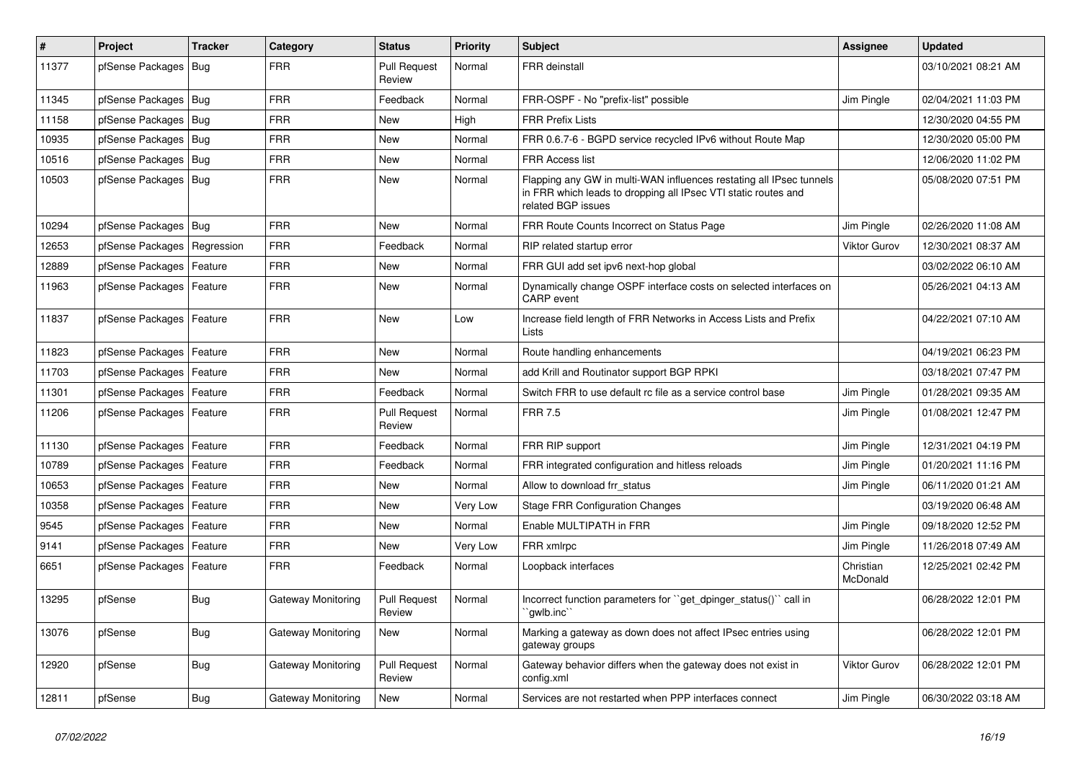| $\#$  | <b>Project</b>             | <b>Tracker</b> | Category           | <b>Status</b>                 | Priority | <b>Subject</b>                                                                                                                                              | <b>Assignee</b>       | <b>Updated</b>      |
|-------|----------------------------|----------------|--------------------|-------------------------------|----------|-------------------------------------------------------------------------------------------------------------------------------------------------------------|-----------------------|---------------------|
| 11377 | pfSense Packages           | Bua            | <b>FRR</b>         | <b>Pull Request</b><br>Review | Normal   | <b>FRR</b> deinstall                                                                                                                                        |                       | 03/10/2021 08:21 AM |
| 11345 | pfSense Packages   Bug     |                | <b>FRR</b>         | Feedback                      | Normal   | FRR-OSPF - No "prefix-list" possible                                                                                                                        | Jim Pingle            | 02/04/2021 11:03 PM |
| 11158 | pfSense Packages   Bug     |                | <b>FRR</b>         | New                           | High     | <b>FRR Prefix Lists</b>                                                                                                                                     |                       | 12/30/2020 04:55 PM |
| 10935 | pfSense Packages   Bug     |                | <b>FRR</b>         | New                           | Normal   | FRR 0.6.7-6 - BGPD service recycled IPv6 without Route Map                                                                                                  |                       | 12/30/2020 05:00 PM |
| 10516 | pfSense Packages   Bug     |                | <b>FRR</b>         | <b>New</b>                    | Normal   | <b>FRR Access list</b>                                                                                                                                      |                       | 12/06/2020 11:02 PM |
| 10503 | pfSense Packages   Bug     |                | <b>FRR</b>         | <b>New</b>                    | Normal   | Flapping any GW in multi-WAN influences restating all IPsec tunnels<br>in FRR which leads to dropping all IPsec VTI static routes and<br>related BGP issues |                       | 05/08/2020 07:51 PM |
| 10294 | pfSense Packages   Bug     |                | <b>FRR</b>         | <b>New</b>                    | Normal   | FRR Route Counts Incorrect on Status Page                                                                                                                   | Jim Pingle            | 02/26/2020 11:08 AM |
| 12653 | pfSense Packages           | Regression     | <b>FRR</b>         | Feedback                      | Normal   | RIP related startup error                                                                                                                                   | <b>Viktor Gurov</b>   | 12/30/2021 08:37 AM |
| 12889 | pfSense Packages           | Feature        | <b>FRR</b>         | New                           | Normal   | FRR GUI add set ipv6 next-hop global                                                                                                                        |                       | 03/02/2022 06:10 AM |
| 11963 | pfSense Packages   Feature |                | <b>FRR</b>         | New                           | Normal   | Dynamically change OSPF interface costs on selected interfaces on<br><b>CARP</b> event                                                                      |                       | 05/26/2021 04:13 AM |
| 11837 | pfSense Packages           | Feature        | <b>FRR</b>         | New                           | Low      | Increase field length of FRR Networks in Access Lists and Prefix<br>Lists                                                                                   |                       | 04/22/2021 07:10 AM |
| 11823 | pfSense Packages           | Feature        | <b>FRR</b>         | <b>New</b>                    | Normal   | Route handling enhancements                                                                                                                                 |                       | 04/19/2021 06:23 PM |
| 11703 | pfSense Packages           | Feature        | <b>FRR</b>         | New                           | Normal   | add Krill and Routinator support BGP RPKI                                                                                                                   |                       | 03/18/2021 07:47 PM |
| 11301 | pfSense Packages           | Feature        | <b>FRR</b>         | Feedback                      | Normal   | Switch FRR to use default rc file as a service control base                                                                                                 | Jim Pingle            | 01/28/2021 09:35 AM |
| 11206 | pfSense Packages   Feature |                | <b>FRR</b>         | <b>Pull Request</b><br>Review | Normal   | <b>FRR 7.5</b>                                                                                                                                              | Jim Pingle            | 01/08/2021 12:47 PM |
| 11130 | pfSense Packages           | Feature        | <b>FRR</b>         | Feedback                      | Normal   | FRR RIP support                                                                                                                                             | Jim Pingle            | 12/31/2021 04:19 PM |
| 10789 | pfSense Packages           | Feature        | <b>FRR</b>         | Feedback                      | Normal   | FRR integrated configuration and hitless reloads                                                                                                            | Jim Pingle            | 01/20/2021 11:16 PM |
| 10653 | pfSense Packages           | Feature        | <b>FRR</b>         | <b>New</b>                    | Normal   | Allow to download frr status                                                                                                                                | Jim Pingle            | 06/11/2020 01:21 AM |
| 10358 | pfSense Packages           | Feature        | <b>FRR</b>         | <b>New</b>                    | Very Low | Stage FRR Configuration Changes                                                                                                                             |                       | 03/19/2020 06:48 AM |
| 9545  | pfSense Packages           | Feature        | <b>FRR</b>         | New                           | Normal   | Enable MULTIPATH in FRR                                                                                                                                     | Jim Pingle            | 09/18/2020 12:52 PM |
| 9141  | pfSense Packages           | Feature        | <b>FRR</b>         | <b>New</b>                    | Very Low | FRR xmlrpc                                                                                                                                                  | Jim Pingle            | 11/26/2018 07:49 AM |
| 6651  | pfSense Packages           | Feature        | <b>FRR</b>         | Feedback                      | Normal   | Loopback interfaces                                                                                                                                         | Christian<br>McDonald | 12/25/2021 02:42 PM |
| 13295 | pfSense                    | <b>Bug</b>     | Gateway Monitoring | <b>Pull Request</b><br>Review | Normal   | Incorrect function parameters for "get dpinger status()" call in<br>`awlb.inc``                                                                             |                       | 06/28/2022 12:01 PM |
| 13076 | pfSense                    | <b>Bug</b>     | Gateway Monitoring | New                           | Normal   | Marking a gateway as down does not affect IPsec entries using<br>gateway groups                                                                             |                       | 06/28/2022 12:01 PM |
| 12920 | pfSense                    | Bug            | Gateway Monitoring | Pull Request<br>Review        | Normal   | Gateway behavior differs when the gateway does not exist in<br>config.xml                                                                                   | <b>Viktor Gurov</b>   | 06/28/2022 12:01 PM |
| 12811 | pfSense                    | Bug            | Gateway Monitoring | <b>New</b>                    | Normal   | Services are not restarted when PPP interfaces connect                                                                                                      | Jim Pingle            | 06/30/2022 03:18 AM |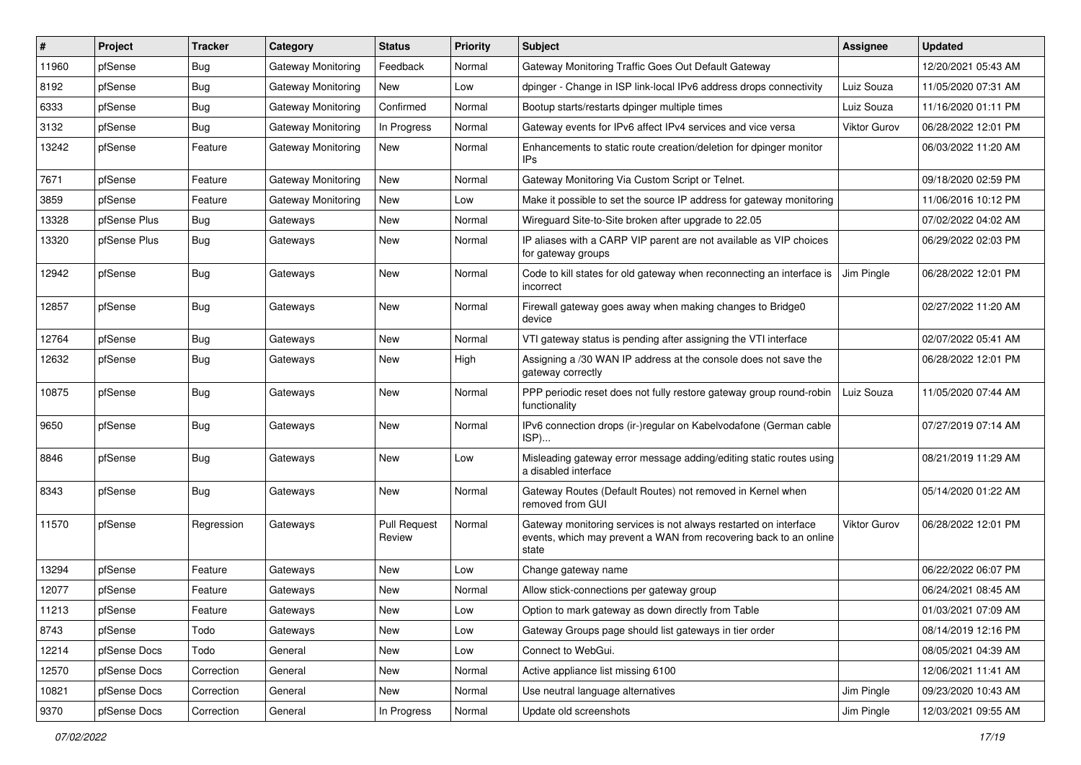| ∦     | Project      | <b>Tracker</b> | Category                  | <b>Status</b>                 | <b>Priority</b> | Subject                                                                                                                                        | Assignee            | <b>Updated</b>      |
|-------|--------------|----------------|---------------------------|-------------------------------|-----------------|------------------------------------------------------------------------------------------------------------------------------------------------|---------------------|---------------------|
| 11960 | pfSense      | <b>Bug</b>     | Gateway Monitoring        | Feedback                      | Normal          | Gateway Monitoring Traffic Goes Out Default Gateway                                                                                            |                     | 12/20/2021 05:43 AM |
| 8192  | pfSense      | <b>Bug</b>     | Gateway Monitoring        | <b>New</b>                    | Low             | dpinger - Change in ISP link-local IPv6 address drops connectivity                                                                             | Luiz Souza          | 11/05/2020 07:31 AM |
| 6333  | pfSense      | <b>Bug</b>     | Gateway Monitoring        | Confirmed                     | Normal          | Bootup starts/restarts dpinger multiple times                                                                                                  | Luiz Souza          | 11/16/2020 01:11 PM |
| 3132  | pfSense      | <b>Bug</b>     | Gateway Monitoring        | In Progress                   | Normal          | Gateway events for IPv6 affect IPv4 services and vice versa                                                                                    | <b>Viktor Gurov</b> | 06/28/2022 12:01 PM |
| 13242 | pfSense      | Feature        | Gateway Monitoring        | New                           | Normal          | Enhancements to static route creation/deletion for dpinger monitor<br>IP <sub>s</sub>                                                          |                     | 06/03/2022 11:20 AM |
| 7671  | pfSense      | Feature        | Gateway Monitoring        | New                           | Normal          | Gateway Monitoring Via Custom Script or Telnet.                                                                                                |                     | 09/18/2020 02:59 PM |
| 3859  | pfSense      | Feature        | <b>Gateway Monitoring</b> | New                           | Low             | Make it possible to set the source IP address for gateway monitoring                                                                           |                     | 11/06/2016 10:12 PM |
| 13328 | pfSense Plus | Bug            | Gateways                  | New                           | Normal          | Wireguard Site-to-Site broken after upgrade to 22.05                                                                                           |                     | 07/02/2022 04:02 AM |
| 13320 | pfSense Plus | <b>Bug</b>     | Gateways                  | New                           | Normal          | IP aliases with a CARP VIP parent are not available as VIP choices<br>for gateway groups                                                       |                     | 06/29/2022 02:03 PM |
| 12942 | pfSense      | <b>Bug</b>     | Gateways                  | New                           | Normal          | Code to kill states for old gateway when reconnecting an interface is<br>incorrect                                                             | Jim Pingle          | 06/28/2022 12:01 PM |
| 12857 | pfSense      | Bug            | Gateways                  | New                           | Normal          | Firewall gateway goes away when making changes to Bridge0<br>device                                                                            |                     | 02/27/2022 11:20 AM |
| 12764 | pfSense      | Bug            | Gateways                  | New                           | Normal          | VTI gateway status is pending after assigning the VTI interface                                                                                |                     | 02/07/2022 05:41 AM |
| 12632 | pfSense      | Bug            | Gateways                  | New                           | High            | Assigning a /30 WAN IP address at the console does not save the<br>gateway correctly                                                           |                     | 06/28/2022 12:01 PM |
| 10875 | pfSense      | Bug            | Gateways                  | New                           | Normal          | PPP periodic reset does not fully restore gateway group round-robin<br>functionality                                                           | Luiz Souza          | 11/05/2020 07:44 AM |
| 9650  | pfSense      | <b>Bug</b>     | Gateways                  | New                           | Normal          | IPv6 connection drops (ir-)regular on Kabelvodafone (German cable<br>$ISP)$                                                                    |                     | 07/27/2019 07:14 AM |
| 8846  | pfSense      | Bug            | Gateways                  | New                           | Low             | Misleading gateway error message adding/editing static routes using<br>a disabled interface                                                    |                     | 08/21/2019 11:29 AM |
| 8343  | pfSense      | Bug            | Gateways                  | New                           | Normal          | Gateway Routes (Default Routes) not removed in Kernel when<br>removed from GUI                                                                 |                     | 05/14/2020 01:22 AM |
| 11570 | pfSense      | Regression     | Gateways                  | <b>Pull Request</b><br>Review | Normal          | Gateway monitoring services is not always restarted on interface<br>events, which may prevent a WAN from recovering back to an online<br>state | <b>Viktor Gurov</b> | 06/28/2022 12:01 PM |
| 13294 | pfSense      | Feature        | Gateways                  | New                           | Low             | Change gateway name                                                                                                                            |                     | 06/22/2022 06:07 PM |
| 12077 | pfSense      | Feature        | Gateways                  | New                           | Normal          | Allow stick-connections per gateway group                                                                                                      |                     | 06/24/2021 08:45 AM |
| 11213 | pfSense      | Feature        | Gateways                  | New                           | Low             | Option to mark gateway as down directly from Table                                                                                             |                     | 01/03/2021 07:09 AM |
| 8743  | pfSense      | Todo           | Gateways                  | New                           | Low             | Gateway Groups page should list gateways in tier order                                                                                         |                     | 08/14/2019 12:16 PM |
| 12214 | pfSense Docs | Todo           | General                   | New                           | Low             | Connect to WebGui.                                                                                                                             |                     | 08/05/2021 04:39 AM |
| 12570 | pfSense Docs | Correction     | General                   | New                           | Normal          | Active appliance list missing 6100                                                                                                             |                     | 12/06/2021 11:41 AM |
| 10821 | pfSense Docs | Correction     | General                   | New                           | Normal          | Use neutral language alternatives                                                                                                              | Jim Pingle          | 09/23/2020 10:43 AM |
| 9370  | pfSense Docs | Correction     | General                   | In Progress                   | Normal          | Update old screenshots                                                                                                                         | Jim Pingle          | 12/03/2021 09:55 AM |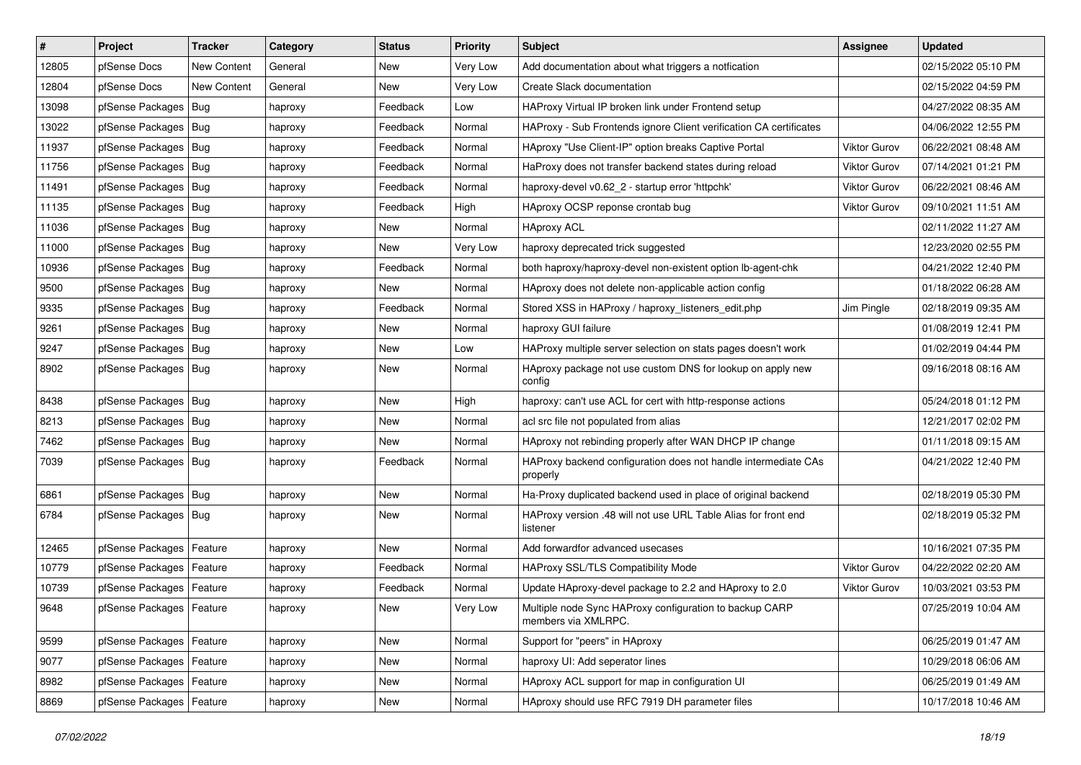| $\vert$ # | Project                    | <b>Tracker</b>     | Category | <b>Status</b> | <b>Priority</b> | Subject                                                                        | Assignee            | <b>Updated</b>      |
|-----------|----------------------------|--------------------|----------|---------------|-----------------|--------------------------------------------------------------------------------|---------------------|---------------------|
| 12805     | pfSense Docs               | <b>New Content</b> | General  | New           | <b>Very Low</b> | Add documentation about what triggers a notfication                            |                     | 02/15/2022 05:10 PM |
| 12804     | pfSense Docs               | <b>New Content</b> | General  | <b>New</b>    | Very Low        | Create Slack documentation                                                     |                     | 02/15/2022 04:59 PM |
| 13098     | pfSense Packages           | Bug                | haproxy  | Feedback      | Low             | HAProxy Virtual IP broken link under Frontend setup                            |                     | 04/27/2022 08:35 AM |
| 13022     | pfSense Packages           | Bug                | haproxy  | Feedback      | Normal          | HAProxy - Sub Frontends ignore Client verification CA certificates             |                     | 04/06/2022 12:55 PM |
| 11937     | pfSense Packages           | Bug                | haproxy  | Feedback      | Normal          | HAproxy "Use Client-IP" option breaks Captive Portal                           | Viktor Gurov        | 06/22/2021 08:48 AM |
| 11756     | pfSense Packages   Bug     |                    | haproxy  | Feedback      | Normal          | HaProxy does not transfer backend states during reload                         | Viktor Gurov        | 07/14/2021 01:21 PM |
| 11491     | pfSense Packages   Bug     |                    | haproxy  | Feedback      | Normal          | haproxy-devel v0.62 2 - startup error 'httpchk'                                | <b>Viktor Gurov</b> | 06/22/2021 08:46 AM |
| 11135     | pfSense Packages           | Bug                | haproxy  | Feedback      | High            | HAproxy OCSP reponse crontab bug                                               | Viktor Gurov        | 09/10/2021 11:51 AM |
| 11036     | pfSense Packages           | Bug                | haproxy  | New           | Normal          | <b>HAproxy ACL</b>                                                             |                     | 02/11/2022 11:27 AM |
| 11000     | pfSense Packages           | Bug                | haproxy  | New           | Very Low        | haproxy deprecated trick suggested                                             |                     | 12/23/2020 02:55 PM |
| 10936     | pfSense Packages           | Bug                | haproxy  | Feedback      | Normal          | both haproxy/haproxy-devel non-existent option lb-agent-chk                    |                     | 04/21/2022 12:40 PM |
| 9500      | pfSense Packages   Bug     |                    | haproxy  | New           | Normal          | HAproxy does not delete non-applicable action config                           |                     | 01/18/2022 06:28 AM |
| 9335      | pfSense Packages           | Bug                | haproxy  | Feedback      | Normal          | Stored XSS in HAProxy / haproxy_listeners_edit.php                             | Jim Pingle          | 02/18/2019 09:35 AM |
| 9261      | pfSense Packages           | Bug                | haproxy  | New           | Normal          | haproxy GUI failure                                                            |                     | 01/08/2019 12:41 PM |
| 9247      | pfSense Packages           | Bug                | haproxy  | <b>New</b>    | Low             | HAProxy multiple server selection on stats pages doesn't work                  |                     | 01/02/2019 04:44 PM |
| 8902      | pfSense Packages   Bug     |                    | haproxy  | New           | Normal          | HAproxy package not use custom DNS for lookup on apply new<br>config           |                     | 09/16/2018 08:16 AM |
| 8438      | pfSense Packages           | Bug                | haproxy  | New           | High            | haproxy: can't use ACL for cert with http-response actions                     |                     | 05/24/2018 01:12 PM |
| 8213      | pfSense Packages           | Bug                | haproxy  | New           | Normal          | acl src file not populated from alias                                          |                     | 12/21/2017 02:02 PM |
| 7462      | pfSense Packages   Bug     |                    | haproxy  | New           | Normal          | HAproxy not rebinding properly after WAN DHCP IP change                        |                     | 01/11/2018 09:15 AM |
| 7039      | pfSense Packages           | Bug                | haproxy  | Feedback      | Normal          | HAProxy backend configuration does not handle intermediate CAs<br>properly     |                     | 04/21/2022 12:40 PM |
| 6861      | pfSense Packages           | Bug                | haproxy  | <b>New</b>    | Normal          | Ha-Proxy duplicated backend used in place of original backend                  |                     | 02/18/2019 05:30 PM |
| 6784      | pfSense Packages   Bug     |                    | haproxy  | New           | Normal          | HAProxy version .48 will not use URL Table Alias for front end<br>listener     |                     | 02/18/2019 05:32 PM |
| 12465     | pfSense Packages           | Feature            | haproxy  | New           | Normal          | Add forwardfor advanced usecases                                               |                     | 10/16/2021 07:35 PM |
| 10779     | pfSense Packages           | Feature            | haproxy  | Feedback      | Normal          | <b>HAProxy SSL/TLS Compatibility Mode</b>                                      | <b>Viktor Gurov</b> | 04/22/2022 02:20 AM |
| 10739     | pfSense Packages   Feature |                    | haproxy  | Feedback      | Normal          | Update HAproxy-devel package to 2.2 and HAproxy to 2.0                         | <b>Viktor Gurov</b> | 10/03/2021 03:53 PM |
| 9648      | pfSense Packages   Feature |                    | haproxy  | New           | Very Low        | Multiple node Sync HAProxy configuration to backup CARP<br>members via XMLRPC. |                     | 07/25/2019 10:04 AM |
| 9599      | pfSense Packages           | Feature            | haproxy  | New           | Normal          | Support for "peers" in HAproxy                                                 |                     | 06/25/2019 01:47 AM |
| 9077      | pfSense Packages           | Feature            | haproxy  | New           | Normal          | haproxy UI: Add seperator lines                                                |                     | 10/29/2018 06:06 AM |
| 8982      | pfSense Packages   Feature |                    | haproxy  | New           | Normal          | HAproxy ACL support for map in configuration UI                                |                     | 06/25/2019 01:49 AM |
| 8869      | pfSense Packages   Feature |                    | haproxy  | New           | Normal          | HAproxy should use RFC 7919 DH parameter files                                 |                     | 10/17/2018 10:46 AM |